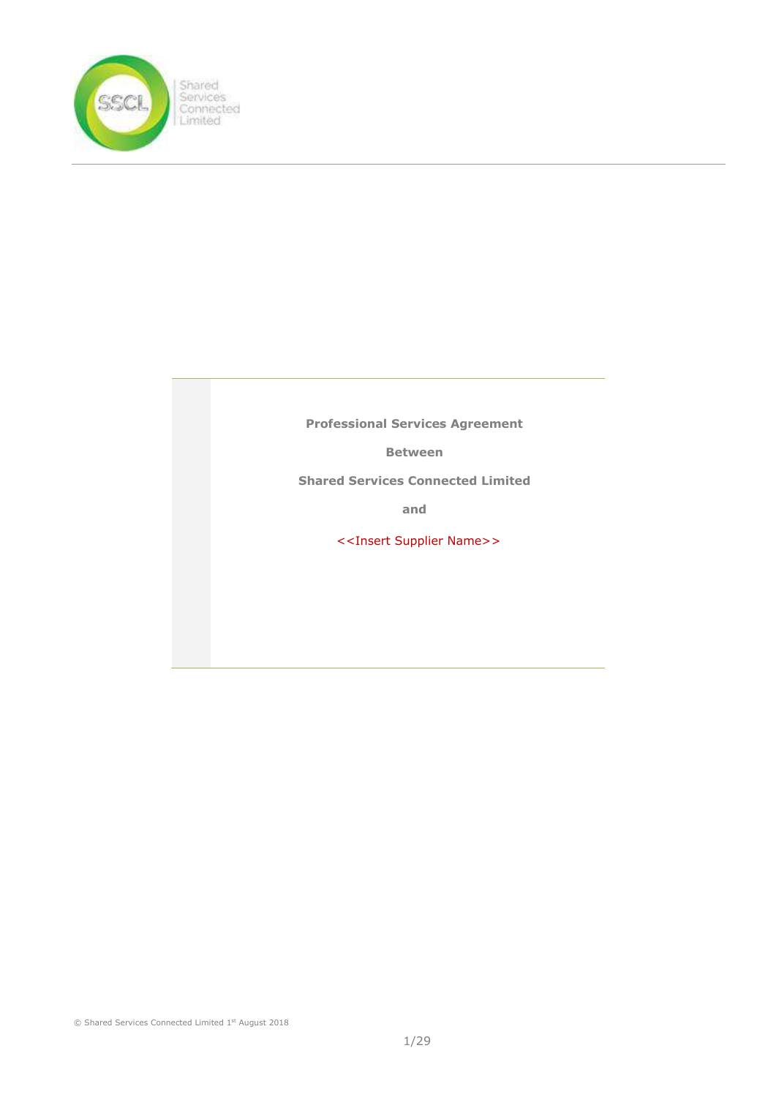

Professional Services Agreement

Between

Shared Services Connected Limited

and

<<Insert Supplier Name>>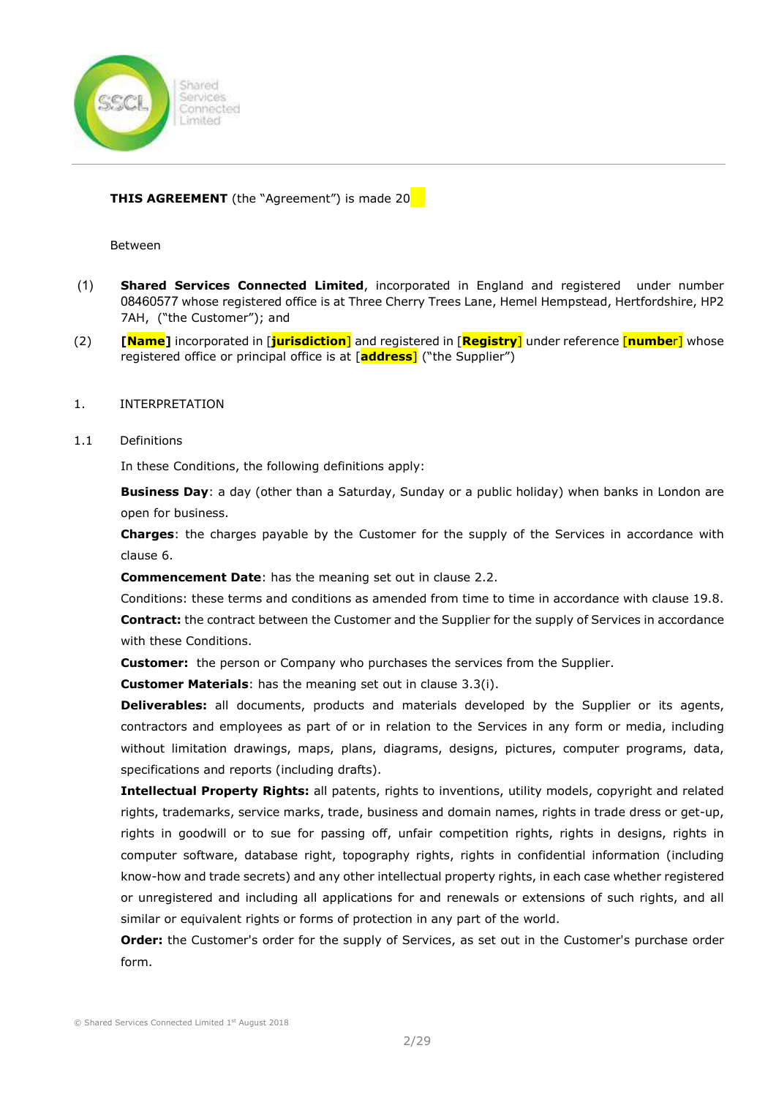

# **THIS AGREEMENT** (the "Agreement") is made 20

Between

- (1) Shared Services Connected Limited, incorporated in England and registered under number 08460577 whose registered office is at Three Cherry Trees Lane, Hemel Hempstead, Hertfordshire, HP2 7AH, ("the Customer"); and
- (2) **[Name]** incorporated in [**jurisdiction**] and registered in [**Registry**] under reference [number] whose registered office or principal office is at [**address**] ("the Supplier")

#### 1. INTERPRETATION

#### 1.1 Definitions

In these Conditions, the following definitions apply:

Business Day: a day (other than a Saturday, Sunday or a public holiday) when banks in London are open for business.

Charges: the charges payable by the Customer for the supply of the Services in accordance with clause 6.

Commencement Date: has the meaning set out in clause 2.2.

Conditions: these terms and conditions as amended from time to time in accordance with clause 19.8. Contract: the contract between the Customer and the Supplier for the supply of Services in accordance with these Conditions.

**Customer:** the person or Company who purchases the services from the Supplier.

**Customer Materials:** has the meaning set out in clause 3.3(i).

**Deliverables:** all documents, products and materials developed by the Supplier or its agents, contractors and employees as part of or in relation to the Services in any form or media, including without limitation drawings, maps, plans, diagrams, designs, pictures, computer programs, data, specifications and reports (including drafts).

Intellectual Property Rights: all patents, rights to inventions, utility models, copyright and related rights, trademarks, service marks, trade, business and domain names, rights in trade dress or get-up, rights in goodwill or to sue for passing off, unfair competition rights, rights in designs, rights in computer software, database right, topography rights, rights in confidential information (including know-how and trade secrets) and any other intellectual property rights, in each case whether registered or unregistered and including all applications for and renewals or extensions of such rights, and all similar or equivalent rights or forms of protection in any part of the world.

Order: the Customer's order for the supply of Services, as set out in the Customer's purchase order form.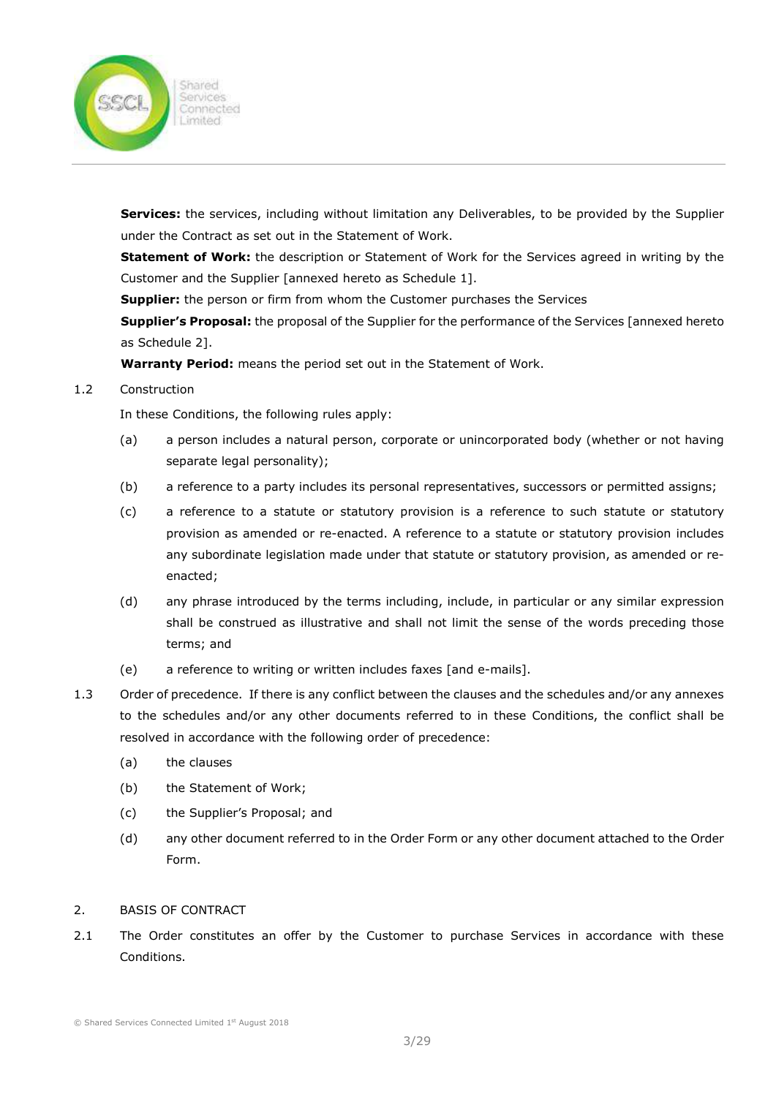

Services: the services, including without limitation any Deliverables, to be provided by the Supplier under the Contract as set out in the Statement of Work.

Statement of Work: the description or Statement of Work for the Services agreed in writing by the Customer and the Supplier [annexed hereto as Schedule 1].

**Supplier:** the person or firm from whom the Customer purchases the Services

Supplier's Proposal: the proposal of the Supplier for the performance of the Services [annexed hereto as Schedule 2].

Warranty Period: means the period set out in the Statement of Work.

### 1.2 Construction

In these Conditions, the following rules apply:

- (a) a person includes a natural person, corporate or unincorporated body (whether or not having separate legal personality);
- (b) a reference to a party includes its personal representatives, successors or permitted assigns;
- (c) a reference to a statute or statutory provision is a reference to such statute or statutory provision as amended or re-enacted. A reference to a statute or statutory provision includes any subordinate legislation made under that statute or statutory provision, as amended or reenacted;
- (d) any phrase introduced by the terms including, include, in particular or any similar expression shall be construed as illustrative and shall not limit the sense of the words preceding those terms; and
- (e) a reference to writing or written includes faxes [and e-mails].
- 1.3 Order of precedence. If there is any conflict between the clauses and the schedules and/or any annexes to the schedules and/or any other documents referred to in these Conditions, the conflict shall be resolved in accordance with the following order of precedence:
	- (a) the clauses
	- (b) the Statement of Work;
	- (c) the Supplier's Proposal; and
	- (d) any other document referred to in the Order Form or any other document attached to the Order Form.

# 2. BASIS OF CONTRACT

2.1 The Order constitutes an offer by the Customer to purchase Services in accordance with these Conditions.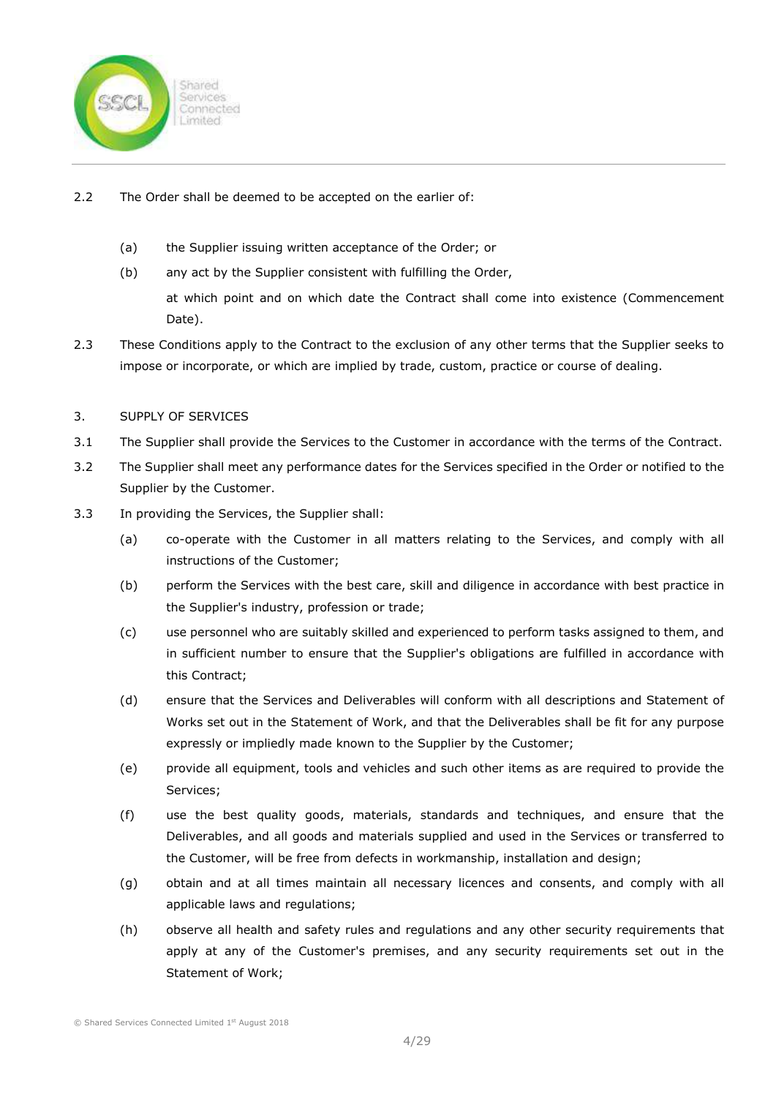

- 2.2 The Order shall be deemed to be accepted on the earlier of:
	- (a) the Supplier issuing written acceptance of the Order; or
	- (b) any act by the Supplier consistent with fulfilling the Order,

at which point and on which date the Contract shall come into existence (Commencement Date).

2.3 These Conditions apply to the Contract to the exclusion of any other terms that the Supplier seeks to impose or incorporate, or which are implied by trade, custom, practice or course of dealing.

### 3. SUPPLY OF SERVICES

- 3.1 The Supplier shall provide the Services to the Customer in accordance with the terms of the Contract.
- 3.2 The Supplier shall meet any performance dates for the Services specified in the Order or notified to the Supplier by the Customer.
- 3.3 In providing the Services, the Supplier shall:
	- (a) co-operate with the Customer in all matters relating to the Services, and comply with all instructions of the Customer;
	- (b) perform the Services with the best care, skill and diligence in accordance with best practice in the Supplier's industry, profession or trade;
	- (c) use personnel who are suitably skilled and experienced to perform tasks assigned to them, and in sufficient number to ensure that the Supplier's obligations are fulfilled in accordance with this Contract;
	- (d) ensure that the Services and Deliverables will conform with all descriptions and Statement of Works set out in the Statement of Work, and that the Deliverables shall be fit for any purpose expressly or impliedly made known to the Supplier by the Customer;
	- (e) provide all equipment, tools and vehicles and such other items as are required to provide the Services;
	- (f) use the best quality goods, materials, standards and techniques, and ensure that the Deliverables, and all goods and materials supplied and used in the Services or transferred to the Customer, will be free from defects in workmanship, installation and design;
	- (g) obtain and at all times maintain all necessary licences and consents, and comply with all applicable laws and regulations;
	- (h) observe all health and safety rules and regulations and any other security requirements that apply at any of the Customer's premises, and any security requirements set out in the Statement of Work;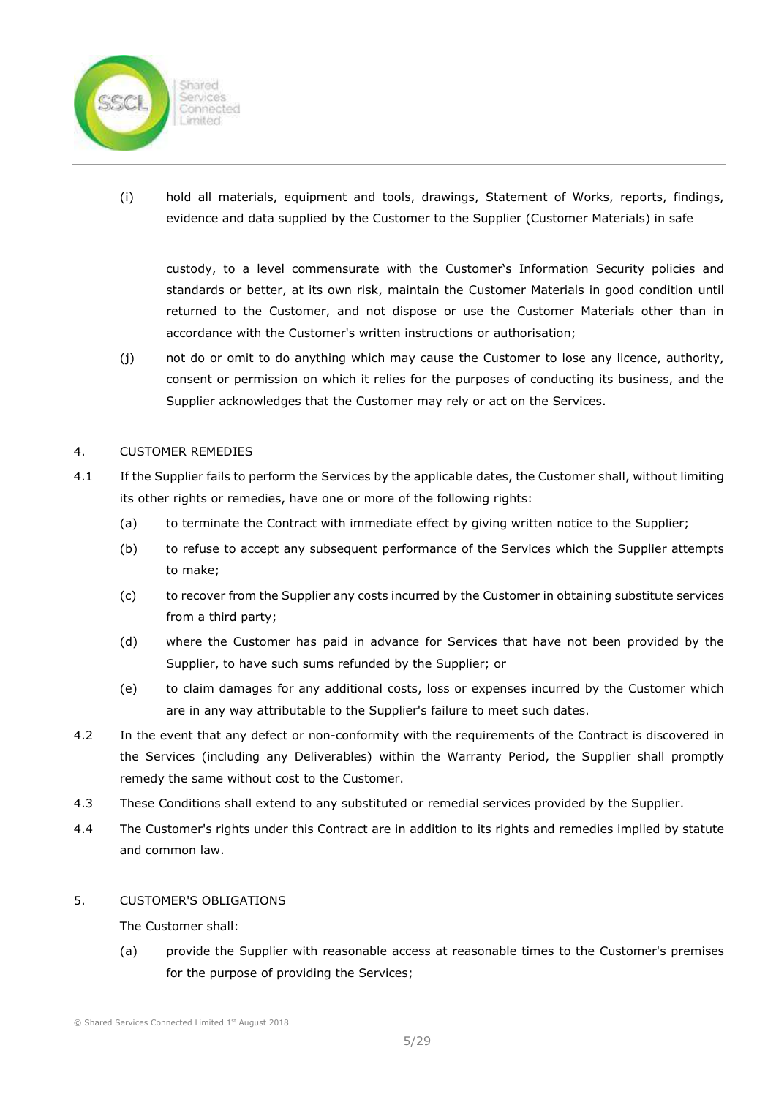

(i) hold all materials, equipment and tools, drawings, Statement of Works, reports, findings, evidence and data supplied by the Customer to the Supplier (Customer Materials) in safe

custody, to a level commensurate with the Customer's Information Security policies and standards or better, at its own risk, maintain the Customer Materials in good condition until returned to the Customer, and not dispose or use the Customer Materials other than in accordance with the Customer's written instructions or authorisation;

(j) not do or omit to do anything which may cause the Customer to lose any licence, authority, consent or permission on which it relies for the purposes of conducting its business, and the Supplier acknowledges that the Customer may rely or act on the Services.

### 4. CUSTOMER REMEDIES

- 4.1 If the Supplier fails to perform the Services by the applicable dates, the Customer shall, without limiting its other rights or remedies, have one or more of the following rights:
	- (a) to terminate the Contract with immediate effect by giving written notice to the Supplier;
	- (b) to refuse to accept any subsequent performance of the Services which the Supplier attempts to make;
	- (c) to recover from the Supplier any costs incurred by the Customer in obtaining substitute services from a third party;
	- (d) where the Customer has paid in advance for Services that have not been provided by the Supplier, to have such sums refunded by the Supplier; or
	- (e) to claim damages for any additional costs, loss or expenses incurred by the Customer which are in any way attributable to the Supplier's failure to meet such dates.
- 4.2 In the event that any defect or non-conformity with the requirements of the Contract is discovered in the Services (including any Deliverables) within the Warranty Period, the Supplier shall promptly remedy the same without cost to the Customer.
- 4.3 These Conditions shall extend to any substituted or remedial services provided by the Supplier.
- 4.4 The Customer's rights under this Contract are in addition to its rights and remedies implied by statute and common law.

#### 5. CUSTOMER'S OBLIGATIONS

The Customer shall:

(a) provide the Supplier with reasonable access at reasonable times to the Customer's premises for the purpose of providing the Services;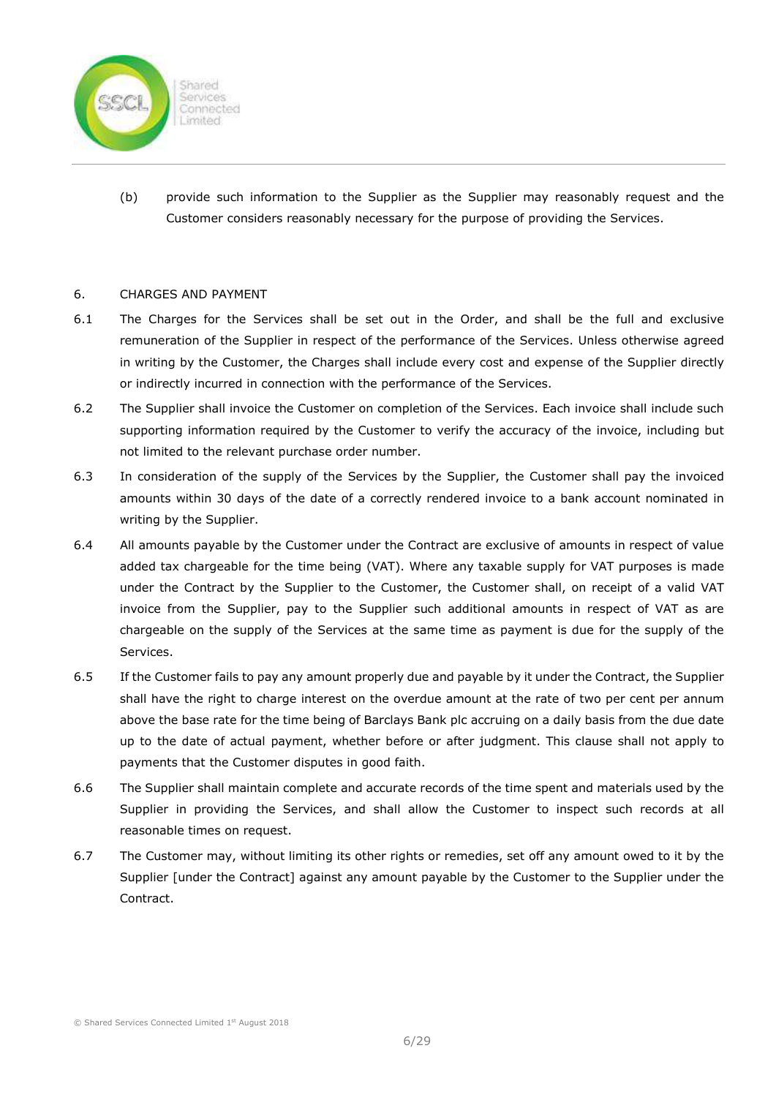

(b) provide such information to the Supplier as the Supplier may reasonably request and the Customer considers reasonably necessary for the purpose of providing the Services.

### 6. CHARGES AND PAYMENT

- 6.1 The Charges for the Services shall be set out in the Order, and shall be the full and exclusive remuneration of the Supplier in respect of the performance of the Services. Unless otherwise agreed in writing by the Customer, the Charges shall include every cost and expense of the Supplier directly or indirectly incurred in connection with the performance of the Services.
- 6.2 The Supplier shall invoice the Customer on completion of the Services. Each invoice shall include such supporting information required by the Customer to verify the accuracy of the invoice, including but not limited to the relevant purchase order number.
- 6.3 In consideration of the supply of the Services by the Supplier, the Customer shall pay the invoiced amounts within 30 days of the date of a correctly rendered invoice to a bank account nominated in writing by the Supplier.
- 6.4 All amounts payable by the Customer under the Contract are exclusive of amounts in respect of value added tax chargeable for the time being (VAT). Where any taxable supply for VAT purposes is made under the Contract by the Supplier to the Customer, the Customer shall, on receipt of a valid VAT invoice from the Supplier, pay to the Supplier such additional amounts in respect of VAT as are chargeable on the supply of the Services at the same time as payment is due for the supply of the Services.
- 6.5 If the Customer fails to pay any amount properly due and payable by it under the Contract, the Supplier shall have the right to charge interest on the overdue amount at the rate of two per cent per annum above the base rate for the time being of Barclays Bank plc accruing on a daily basis from the due date up to the date of actual payment, whether before or after judgment. This clause shall not apply to payments that the Customer disputes in good faith.
- 6.6 The Supplier shall maintain complete and accurate records of the time spent and materials used by the Supplier in providing the Services, and shall allow the Customer to inspect such records at all reasonable times on request.
- 6.7 The Customer may, without limiting its other rights or remedies, set off any amount owed to it by the Supplier [under the Contract] against any amount payable by the Customer to the Supplier under the Contract.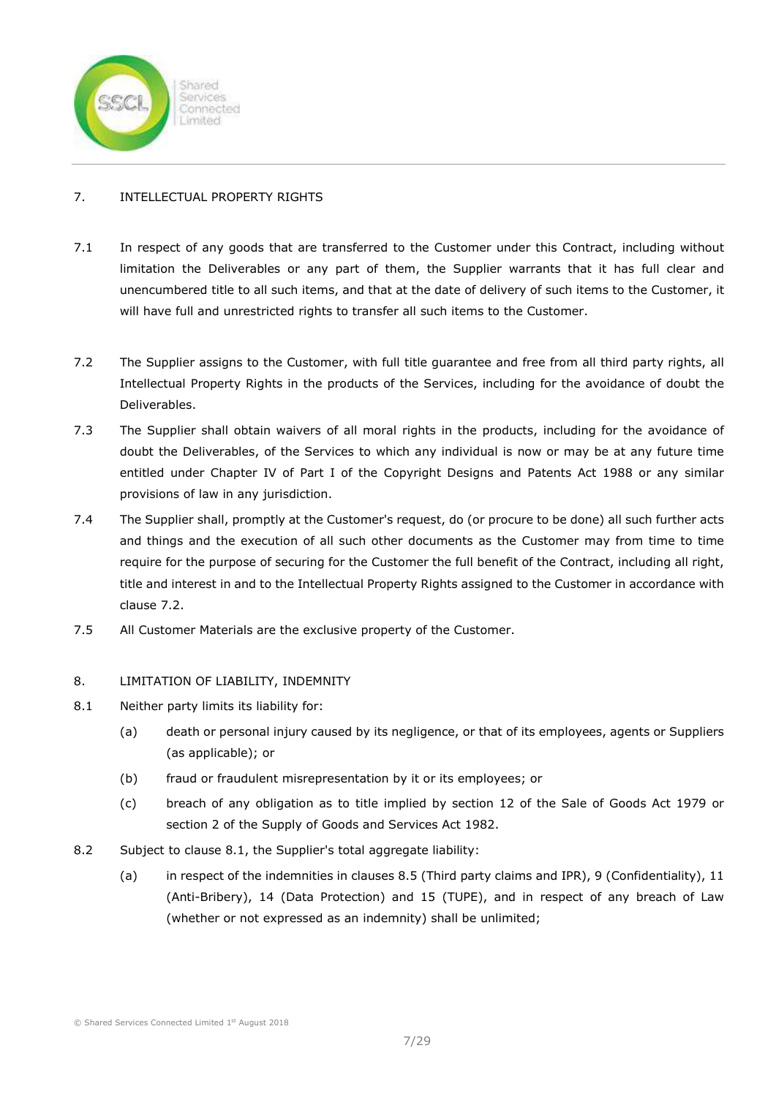

# 7. INTELLECTUAL PROPERTY RIGHTS

- 7.1 In respect of any goods that are transferred to the Customer under this Contract, including without limitation the Deliverables or any part of them, the Supplier warrants that it has full clear and unencumbered title to all such items, and that at the date of delivery of such items to the Customer, it will have full and unrestricted rights to transfer all such items to the Customer.
- 7.2 The Supplier assigns to the Customer, with full title guarantee and free from all third party rights, all Intellectual Property Rights in the products of the Services, including for the avoidance of doubt the Deliverables.
- 7.3 The Supplier shall obtain waivers of all moral rights in the products, including for the avoidance of doubt the Deliverables, of the Services to which any individual is now or may be at any future time entitled under Chapter IV of Part I of the Copyright Designs and Patents Act 1988 or any similar provisions of law in any jurisdiction.
- 7.4 The Supplier shall, promptly at the Customer's request, do (or procure to be done) all such further acts and things and the execution of all such other documents as the Customer may from time to time require for the purpose of securing for the Customer the full benefit of the Contract, including all right, title and interest in and to the Intellectual Property Rights assigned to the Customer in accordance with clause 7.2.
- 7.5 All Customer Materials are the exclusive property of the Customer.

# 8. LIMITATION OF LIABILITY, INDEMNITY

- 8.1 Neither party limits its liability for:
	- (a) death or personal injury caused by its negligence, or that of its employees, agents or Suppliers (as applicable); or
	- (b) fraud or fraudulent misrepresentation by it or its employees; or
	- (c) breach of any obligation as to title implied by section 12 of the Sale of Goods Act 1979 or section 2 of the Supply of Goods and Services Act 1982.
- 8.2 Subject to clause 8.1, the Supplier's total aggregate liability:
	- (a) in respect of the indemnities in clauses 8.5 (Third party claims and IPR), 9 (Confidentiality), 11 (Anti-Bribery), 14 (Data Protection) and 15 (TUPE), and in respect of any breach of Law (whether or not expressed as an indemnity) shall be unlimited;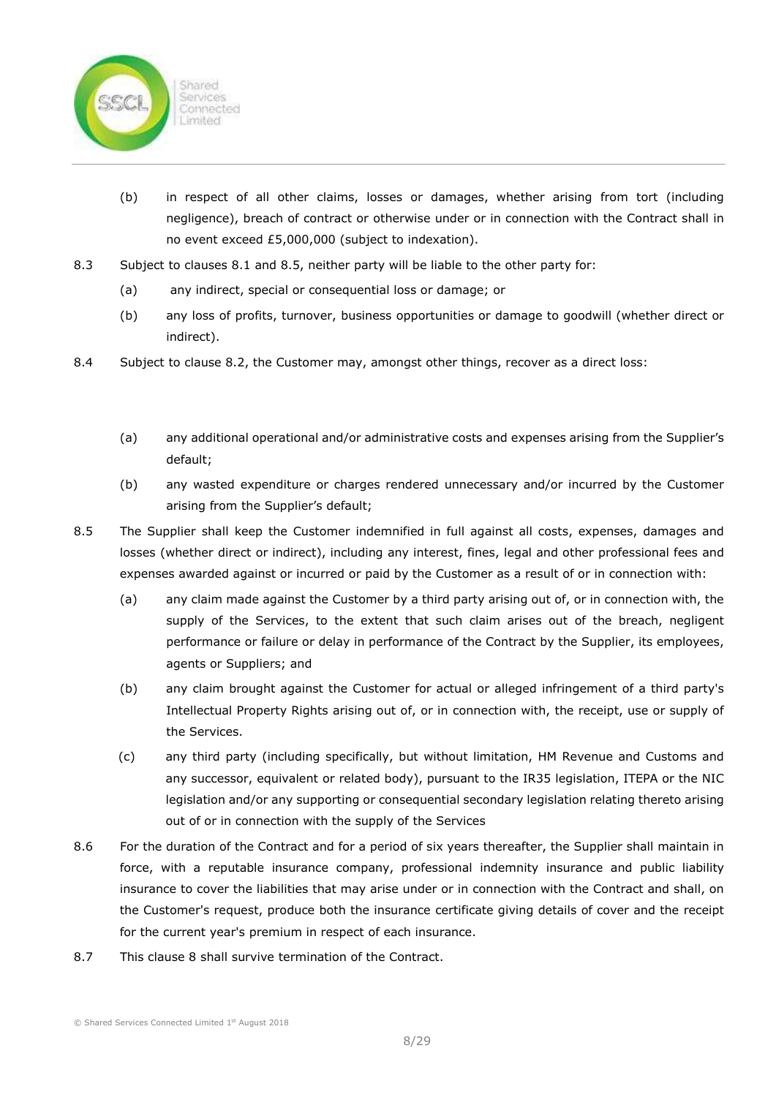

- (b) in respect of all other claims, losses or damages, whether arising from tort (including negligence), breach of contract or otherwise under or in connection with the Contract shall in no event exceed £5,000,000 (subject to indexation).
- 8.3 Subject to clauses 8.1 and 8.5, neither party will be liable to the other party for:
	- (a) any indirect, special or consequential loss or damage; or
	- (b) any loss of profits, turnover, business opportunities or damage to goodwill (whether direct or indirect).
- 8.4 Subject to clause 8.2, the Customer may, amongst other things, recover as a direct loss:
	- (a) any additional operational and/or administrative costs and expenses arising from the Supplier's default;
	- (b) any wasted expenditure or charges rendered unnecessary and/or incurred by the Customer arising from the Supplier's default;
- 8.5 The Supplier shall keep the Customer indemnified in full against all costs, expenses, damages and losses (whether direct or indirect), including any interest, fines, legal and other professional fees and expenses awarded against or incurred or paid by the Customer as a result of or in connection with:
	- (a) any claim made against the Customer by a third party arising out of, or in connection with, the supply of the Services, to the extent that such claim arises out of the breach, negligent performance or failure or delay in performance of the Contract by the Supplier, its employees, agents or Suppliers; and
	- (b) any claim brought against the Customer for actual or alleged infringement of a third party's Intellectual Property Rights arising out of, or in connection with, the receipt, use or supply of the Services.
	- (c) any third party (including specifically, but without limitation, HM Revenue and Customs and any successor, equivalent or related body), pursuant to the IR35 legislation, ITEPA or the NIC legislation and/or any supporting or consequential secondary legislation relating thereto arising out of or in connection with the supply of the Services
- 8.6 For the duration of the Contract and for a period of six years thereafter, the Supplier shall maintain in force, with a reputable insurance company, professional indemnity insurance and public liability insurance to cover the liabilities that may arise under or in connection with the Contract and shall, on the Customer's request, produce both the insurance certificate giving details of cover and the receipt for the current year's premium in respect of each insurance.
- 8.7 This clause 8 shall survive termination of the Contract.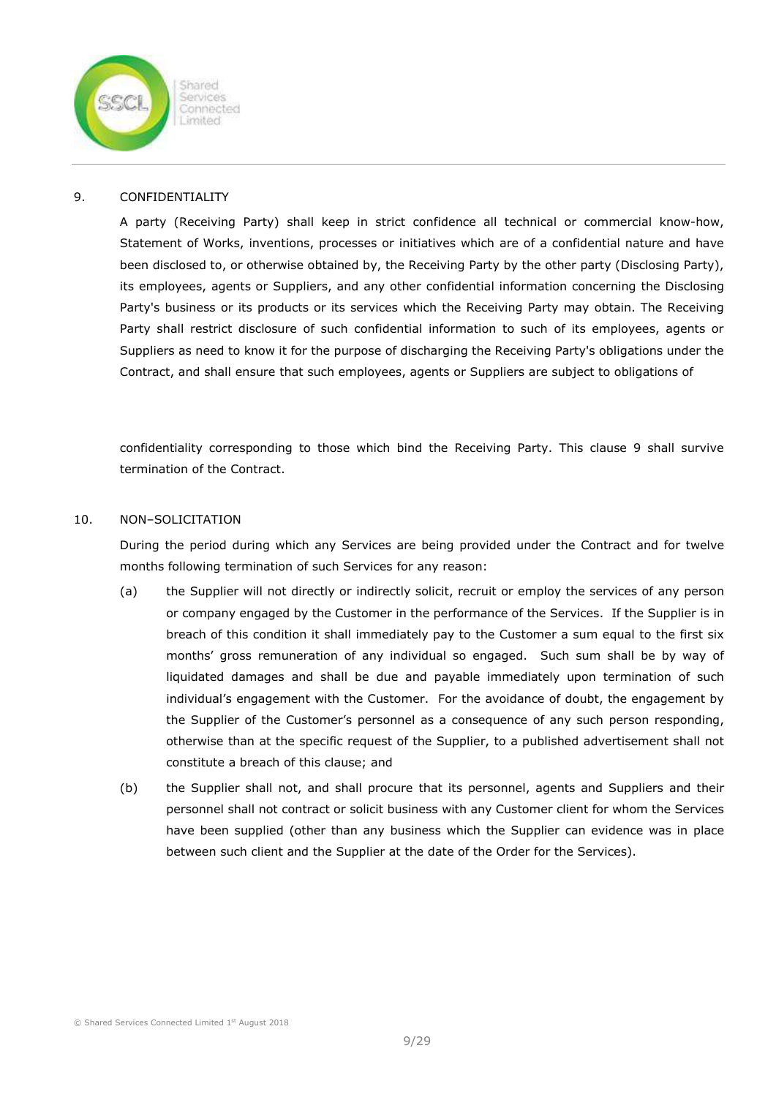

### 9. CONFIDENTIALITY

A party (Receiving Party) shall keep in strict confidence all technical or commercial know-how, Statement of Works, inventions, processes or initiatives which are of a confidential nature and have been disclosed to, or otherwise obtained by, the Receiving Party by the other party (Disclosing Party), its employees, agents or Suppliers, and any other confidential information concerning the Disclosing Party's business or its products or its services which the Receiving Party may obtain. The Receiving Party shall restrict disclosure of such confidential information to such of its employees, agents or Suppliers as need to know it for the purpose of discharging the Receiving Party's obligations under the Contract, and shall ensure that such employees, agents or Suppliers are subject to obligations of

confidentiality corresponding to those which bind the Receiving Party. This clause 9 shall survive termination of the Contract.

### 10. NON–SOLICITATION

During the period during which any Services are being provided under the Contract and for twelve months following termination of such Services for any reason:

- (a) the Supplier will not directly or indirectly solicit, recruit or employ the services of any person or company engaged by the Customer in the performance of the Services. If the Supplier is in breach of this condition it shall immediately pay to the Customer a sum equal to the first six months' gross remuneration of any individual so engaged. Such sum shall be by way of liquidated damages and shall be due and payable immediately upon termination of such individual's engagement with the Customer. For the avoidance of doubt, the engagement by the Supplier of the Customer's personnel as a consequence of any such person responding, otherwise than at the specific request of the Supplier, to a published advertisement shall not constitute a breach of this clause; and
- (b) the Supplier shall not, and shall procure that its personnel, agents and Suppliers and their personnel shall not contract or solicit business with any Customer client for whom the Services have been supplied (other than any business which the Supplier can evidence was in place between such client and the Supplier at the date of the Order for the Services).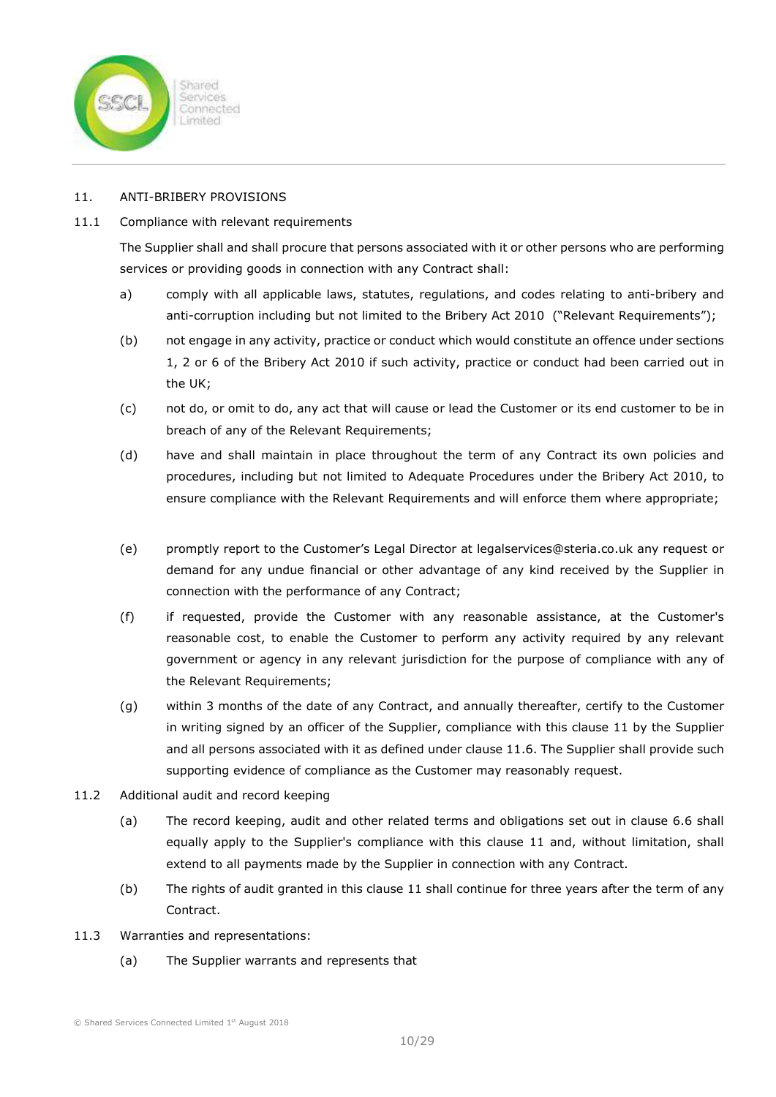

# 11. ANTI-BRIBERY PROVISIONS

# 11.1 Compliance with relevant requirements

The Supplier shall and shall procure that persons associated with it or other persons who are performing services or providing goods in connection with any Contract shall:

- a) comply with all applicable laws, statutes, regulations, and codes relating to anti-bribery and anti-corruption including but not limited to the Bribery Act 2010 ("Relevant Requirements");
- (b) not engage in any activity, practice or conduct which would constitute an offence under sections 1, 2 or 6 of the Bribery Act 2010 if such activity, practice or conduct had been carried out in the UK;
- (c) not do, or omit to do, any act that will cause or lead the Customer or its end customer to be in breach of any of the Relevant Requirements;
- (d) have and shall maintain in place throughout the term of any Contract its own policies and procedures, including but not limited to Adequate Procedures under the Bribery Act 2010, to ensure compliance with the Relevant Requirements and will enforce them where appropriate;
- (e) promptly report to the Customer's Legal Director at legalservices@steria.co.uk any request or demand for any undue financial or other advantage of any kind received by the Supplier in connection with the performance of any Contract;
- (f) if requested, provide the Customer with any reasonable assistance, at the Customer's reasonable cost, to enable the Customer to perform any activity required by any relevant government or agency in any relevant jurisdiction for the purpose of compliance with any of the Relevant Requirements;
- (g) within 3 months of the date of any Contract, and annually thereafter, certify to the Customer in writing signed by an officer of the Supplier, compliance with this clause 11 by the Supplier and all persons associated with it as defined under clause 11.6. The Supplier shall provide such supporting evidence of compliance as the Customer may reasonably request.
- 11.2 Additional audit and record keeping
	- (a) The record keeping, audit and other related terms and obligations set out in clause 6.6 shall equally apply to the Supplier's compliance with this clause 11 and, without limitation, shall extend to all payments made by the Supplier in connection with any Contract.
	- (b) The rights of audit granted in this clause 11 shall continue for three years after the term of any Contract.
- 11.3 Warranties and representations:
	- (a) The Supplier warrants and represents that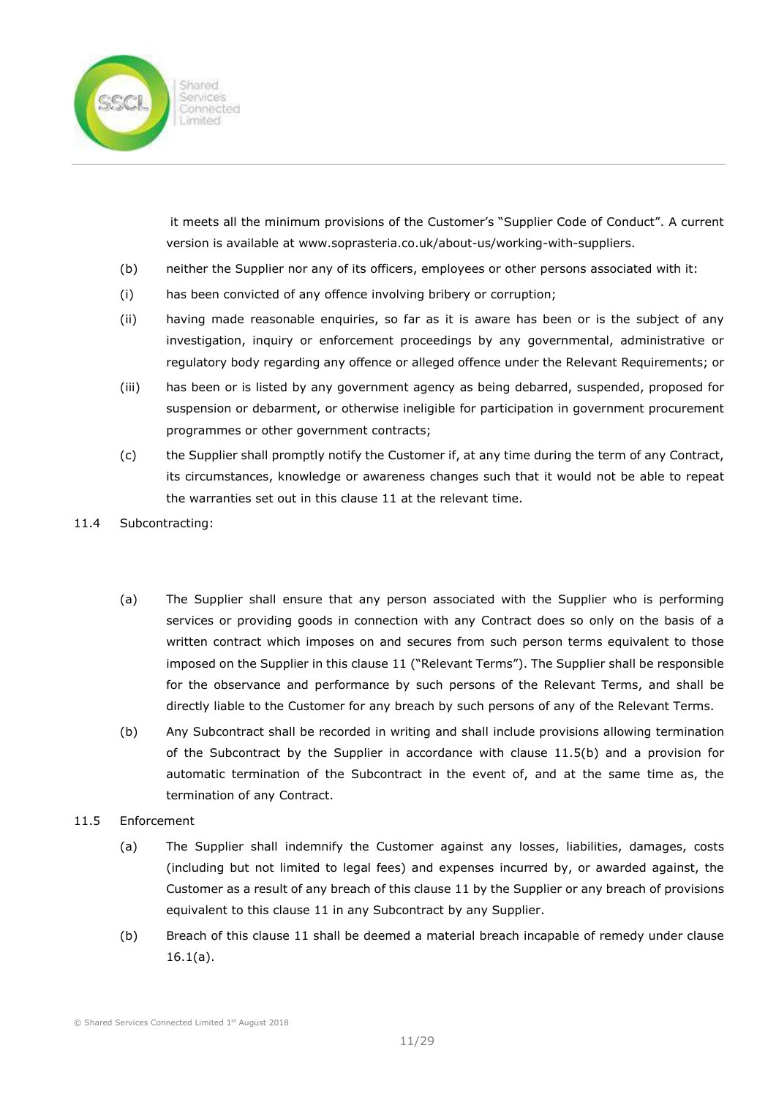

 it meets all the minimum provisions of the Customer's "Supplier Code of Conduct". A current version is available at www.soprasteria.co.uk/about-us/working-with-suppliers.

- (b) neither the Supplier nor any of its officers, employees or other persons associated with it:
- (i) has been convicted of any offence involving bribery or corruption;
- (ii) having made reasonable enquiries, so far as it is aware has been or is the subject of any investigation, inquiry or enforcement proceedings by any governmental, administrative or regulatory body regarding any offence or alleged offence under the Relevant Requirements; or
- (iii) has been or is listed by any government agency as being debarred, suspended, proposed for suspension or debarment, or otherwise ineligible for participation in government procurement programmes or other government contracts;
- (c) the Supplier shall promptly notify the Customer if, at any time during the term of any Contract, its circumstances, knowledge or awareness changes such that it would not be able to repeat the warranties set out in this clause 11 at the relevant time.
- 11.4 Subcontracting:
	- (a) The Supplier shall ensure that any person associated with the Supplier who is performing services or providing goods in connection with any Contract does so only on the basis of a written contract which imposes on and secures from such person terms equivalent to those imposed on the Supplier in this clause 11 ("Relevant Terms"). The Supplier shall be responsible for the observance and performance by such persons of the Relevant Terms, and shall be directly liable to the Customer for any breach by such persons of any of the Relevant Terms.
	- (b) Any Subcontract shall be recorded in writing and shall include provisions allowing termination of the Subcontract by the Supplier in accordance with clause 11.5(b) and a provision for automatic termination of the Subcontract in the event of, and at the same time as, the termination of any Contract.
- 11.5 Enforcement
	- (a) The Supplier shall indemnify the Customer against any losses, liabilities, damages, costs (including but not limited to legal fees) and expenses incurred by, or awarded against, the Customer as a result of any breach of this clause 11 by the Supplier or any breach of provisions equivalent to this clause 11 in any Subcontract by any Supplier.
	- (b) Breach of this clause 11 shall be deemed a material breach incapable of remedy under clause  $16.1(a)$ .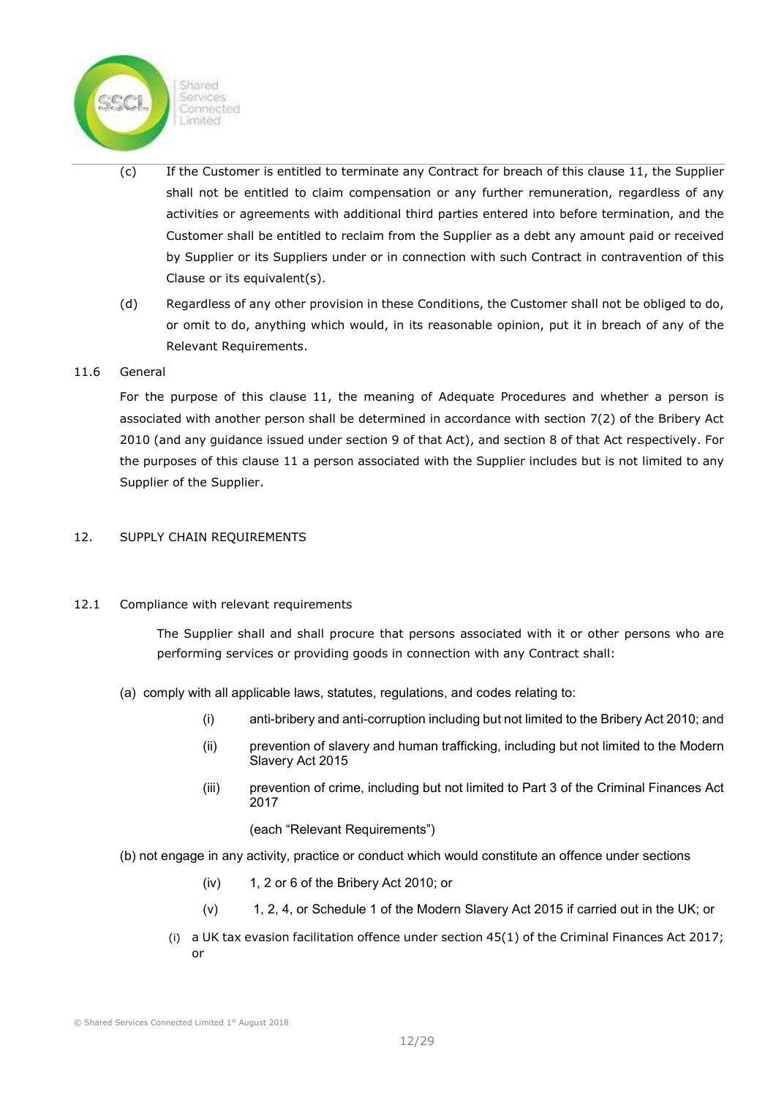Sharon Services Connected imited

- (c) If the Customer is entitled to terminate any Contract for breach of this clause 11, the Supplier shall not be entitled to claim compensation or any further remuneration, regardless of any activities or agreements with additional third parties entered into before termination, and the Customer shall be entitled to reclaim from the Supplier as a debt any amount paid or received by Supplier or its Suppliers under or in connection with such Contract in contravention of this Clause or its equivalent(s).
- (d) Regardless of any other provision in these Conditions, the Customer shall not be obliged to do, or omit to do, anything which would, in its reasonable opinion, put it in breach of any of the Relevant Requirements.

### 11.6 General

For the purpose of this clause 11, the meaning of Adequate Procedures and whether a person is associated with another person shall be determined in accordance with section 7(2) of the Bribery Act 2010 (and any guidance issued under section 9 of that Act), and section 8 of that Act respectively. For the purposes of this clause 11 a person associated with the Supplier includes but is not limited to any Supplier of the Supplier.

### 12. SUPPLY CHAIN REQUIREMENTS

# 12.1 Compliance with relevant requirements

The Supplier shall and shall procure that persons associated with it or other persons who are performing services or providing goods in connection with any Contract shall:

- (a) comply with all applicable laws, statutes, regulations, and codes relating to:
	- (i) anti-bribery and anti-corruption including but not limited to the Bribery Act 2010; and
	- (ii) prevention of slavery and human trafficking, including but not limited to the Modern Slavery Act 2015
	- (iii) prevention of crime, including but not limited to Part 3 of the Criminal Finances Act 2017

(each "Relevant Requirements")

- (b) not engage in any activity, practice or conduct which would constitute an offence under sections
	- (iv) 1, 2 or 6 of the Bribery Act 2010; or
	- (v) 1, 2, 4, or Schedule 1 of the Modern Slavery Act 2015 if carried out in the UK; or
	- (i) a UK tax evasion facilitation offence under section 45(1) of the Criminal Finances Act 2017; or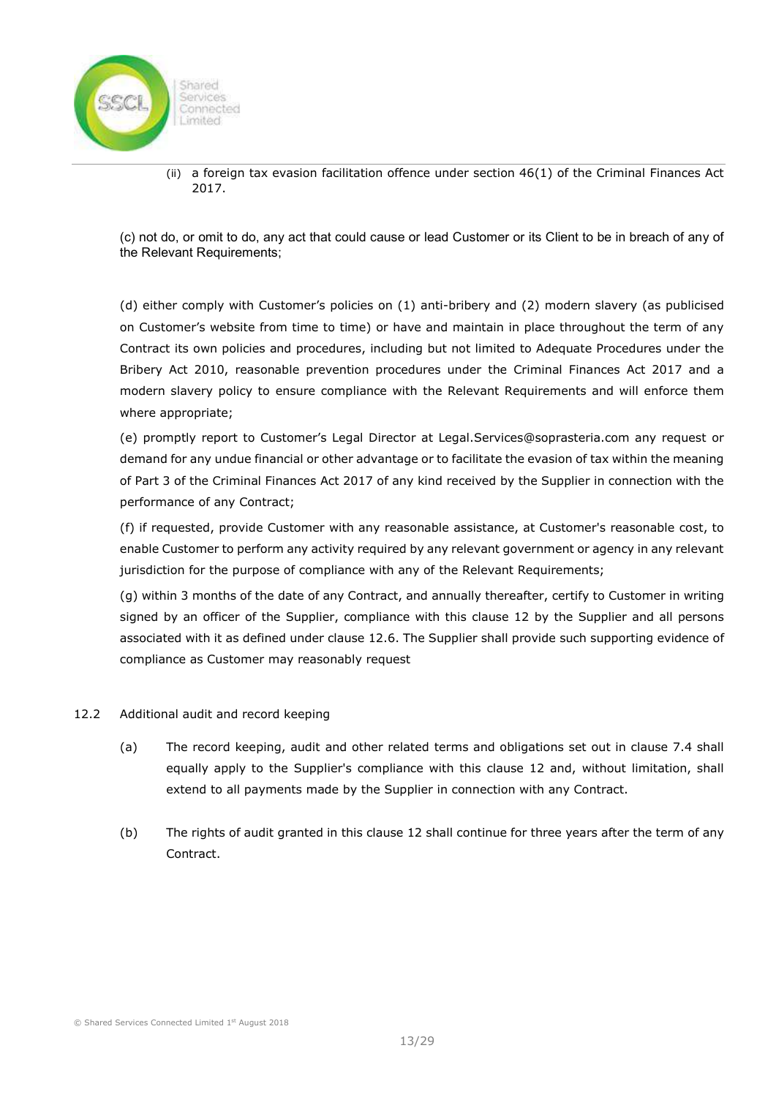

(ii) a foreign tax evasion facilitation offence under section 46(1) of the Criminal Finances Act 2017.

(c) not do, or omit to do, any act that could cause or lead Customer or its Client to be in breach of any of the Relevant Requirements;

(d) either comply with Customer's policies on (1) anti-bribery and (2) modern slavery (as publicised on Customer's website from time to time) or have and maintain in place throughout the term of any Contract its own policies and procedures, including but not limited to Adequate Procedures under the Bribery Act 2010, reasonable prevention procedures under the Criminal Finances Act 2017 and a modern slavery policy to ensure compliance with the Relevant Requirements and will enforce them where appropriate;

(e) promptly report to Customer's Legal Director at Legal.Services@soprasteria.com any request or demand for any undue financial or other advantage or to facilitate the evasion of tax within the meaning of Part 3 of the Criminal Finances Act 2017 of any kind received by the Supplier in connection with the performance of any Contract;

(f) if requested, provide Customer with any reasonable assistance, at Customer's reasonable cost, to enable Customer to perform any activity required by any relevant government or agency in any relevant jurisdiction for the purpose of compliance with any of the Relevant Requirements;

(g) within 3 months of the date of any Contract, and annually thereafter, certify to Customer in writing signed by an officer of the Supplier, compliance with this clause 12 by the Supplier and all persons associated with it as defined under clause 12.6. The Supplier shall provide such supporting evidence of compliance as Customer may reasonably request

- 12.2 Additional audit and record keeping
	- (a) The record keeping, audit and other related terms and obligations set out in clause 7.4 shall equally apply to the Supplier's compliance with this clause 12 and, without limitation, shall extend to all payments made by the Supplier in connection with any Contract.
	- (b) The rights of audit granted in this clause 12 shall continue for three years after the term of any Contract.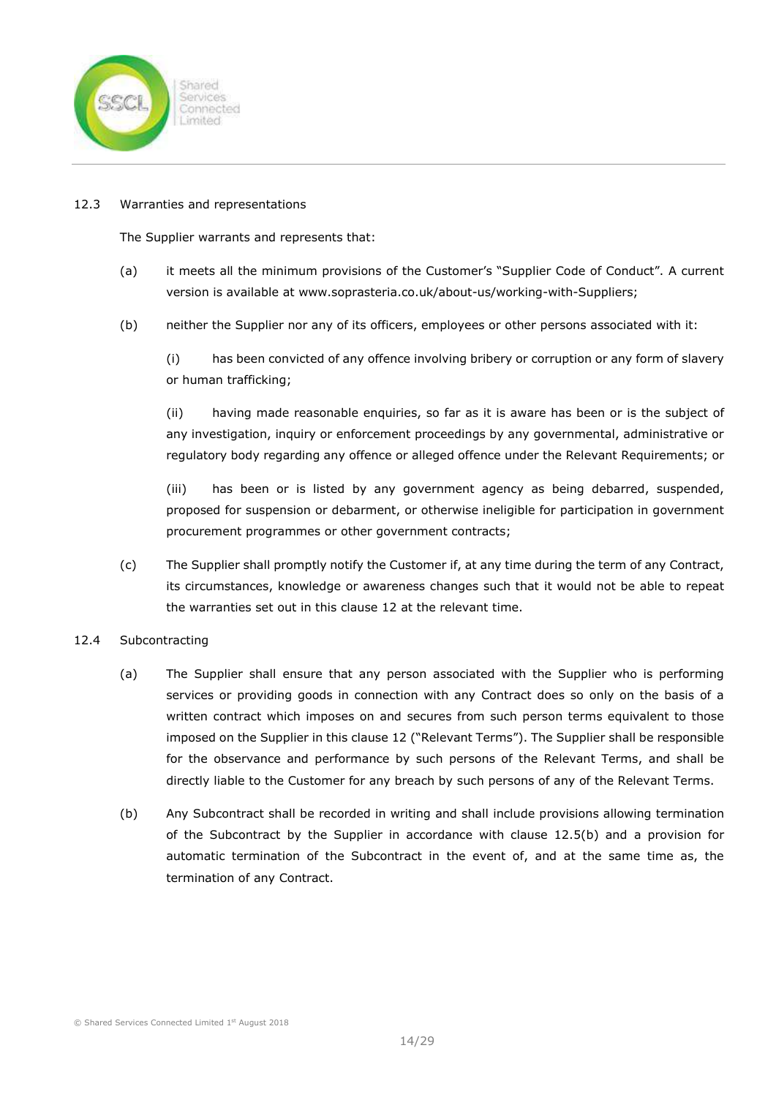

#### 12.3 Warranties and representations

The Supplier warrants and represents that:

- (a) it meets all the minimum provisions of the Customer's "Supplier Code of Conduct". A current version is available at www.soprasteria.co.uk/about-us/working-with-Suppliers;
- (b) neither the Supplier nor any of its officers, employees or other persons associated with it:

(i) has been convicted of any offence involving bribery or corruption or any form of slavery or human trafficking;

(ii) having made reasonable enquiries, so far as it is aware has been or is the subject of any investigation, inquiry or enforcement proceedings by any governmental, administrative or regulatory body regarding any offence or alleged offence under the Relevant Requirements; or

(iii) has been or is listed by any government agency as being debarred, suspended, proposed for suspension or debarment, or otherwise ineligible for participation in government procurement programmes or other government contracts;

(c) The Supplier shall promptly notify the Customer if, at any time during the term of any Contract, its circumstances, knowledge or awareness changes such that it would not be able to repeat the warranties set out in this clause 12 at the relevant time.

# 12.4 Subcontracting

- (a) The Supplier shall ensure that any person associated with the Supplier who is performing services or providing goods in connection with any Contract does so only on the basis of a written contract which imposes on and secures from such person terms equivalent to those imposed on the Supplier in this clause 12 ("Relevant Terms"). The Supplier shall be responsible for the observance and performance by such persons of the Relevant Terms, and shall be directly liable to the Customer for any breach by such persons of any of the Relevant Terms.
- (b) Any Subcontract shall be recorded in writing and shall include provisions allowing termination of the Subcontract by the Supplier in accordance with clause 12.5(b) and a provision for automatic termination of the Subcontract in the event of, and at the same time as, the termination of any Contract.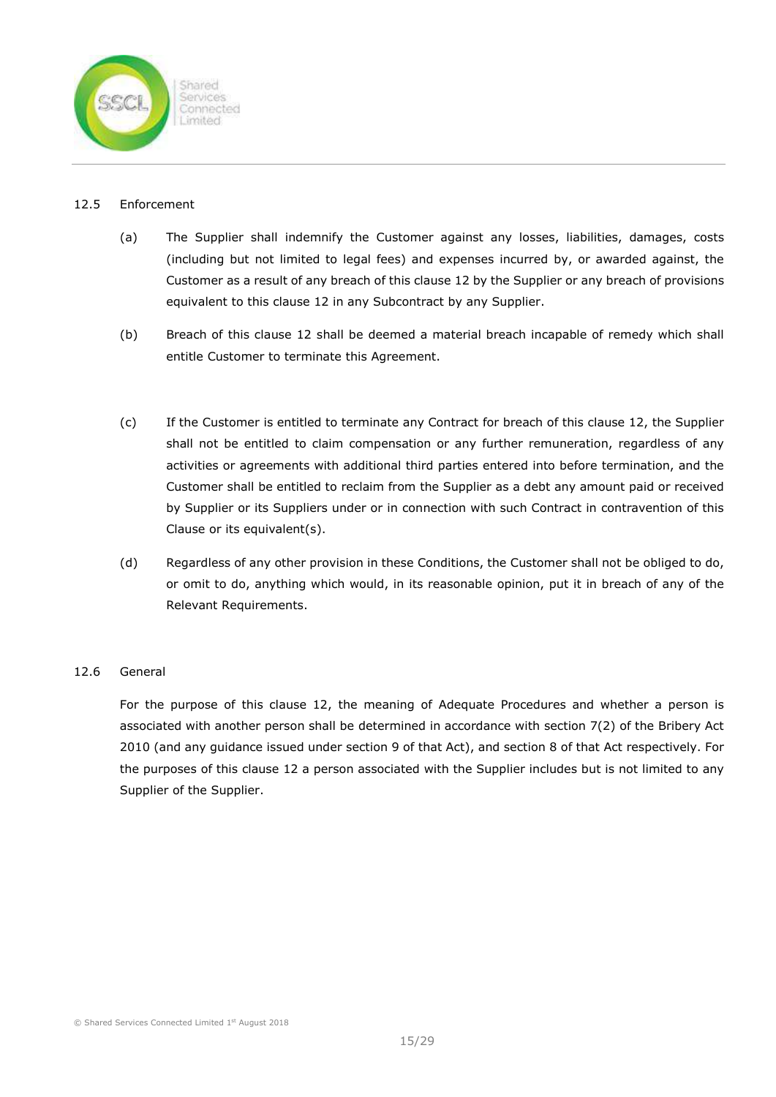

### 12.5 Enforcement

- (a) The Supplier shall indemnify the Customer against any losses, liabilities, damages, costs (including but not limited to legal fees) and expenses incurred by, or awarded against, the Customer as a result of any breach of this clause 12 by the Supplier or any breach of provisions equivalent to this clause 12 in any Subcontract by any Supplier.
- (b) Breach of this clause 12 shall be deemed a material breach incapable of remedy which shall entitle Customer to terminate this Agreement.
- (c) If the Customer is entitled to terminate any Contract for breach of this clause 12, the Supplier shall not be entitled to claim compensation or any further remuneration, regardless of any activities or agreements with additional third parties entered into before termination, and the Customer shall be entitled to reclaim from the Supplier as a debt any amount paid or received by Supplier or its Suppliers under or in connection with such Contract in contravention of this Clause or its equivalent(s).
- (d) Regardless of any other provision in these Conditions, the Customer shall not be obliged to do, or omit to do, anything which would, in its reasonable opinion, put it in breach of any of the Relevant Requirements.

# 12.6 General

For the purpose of this clause 12, the meaning of Adequate Procedures and whether a person is associated with another person shall be determined in accordance with section 7(2) of the Bribery Act 2010 (and any guidance issued under section 9 of that Act), and section 8 of that Act respectively. For the purposes of this clause 12 a person associated with the Supplier includes but is not limited to any Supplier of the Supplier.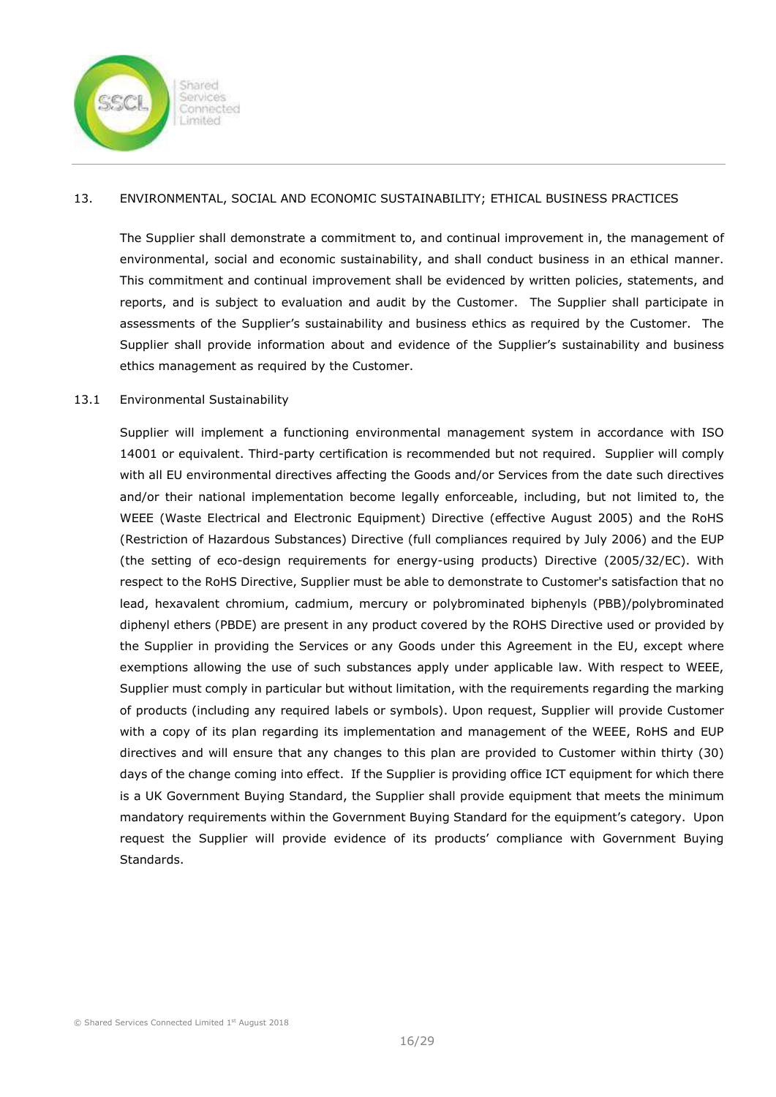

# 13. ENVIRONMENTAL, SOCIAL AND ECONOMIC SUSTAINABILITY; ETHICAL BUSINESS PRACTICES

The Supplier shall demonstrate a commitment to, and continual improvement in, the management of environmental, social and economic sustainability, and shall conduct business in an ethical manner. This commitment and continual improvement shall be evidenced by written policies, statements, and reports, and is subject to evaluation and audit by the Customer. The Supplier shall participate in assessments of the Supplier's sustainability and business ethics as required by the Customer. The Supplier shall provide information about and evidence of the Supplier's sustainability and business ethics management as required by the Customer.

### 13.1 Environmental Sustainability

Supplier will implement a functioning environmental management system in accordance with ISO 14001 or equivalent. Third-party certification is recommended but not required. Supplier will comply with all EU environmental directives affecting the Goods and/or Services from the date such directives and/or their national implementation become legally enforceable, including, but not limited to, the WEEE (Waste Electrical and Electronic Equipment) Directive (effective August 2005) and the RoHS (Restriction of Hazardous Substances) Directive (full compliances required by July 2006) and the EUP (the setting of eco-design requirements for energy-using products) Directive (2005/32/EC). With respect to the RoHS Directive, Supplier must be able to demonstrate to Customer's satisfaction that no lead, hexavalent chromium, cadmium, mercury or polybrominated biphenyls (PBB)/polybrominated diphenyl ethers (PBDE) are present in any product covered by the ROHS Directive used or provided by the Supplier in providing the Services or any Goods under this Agreement in the EU, except where exemptions allowing the use of such substances apply under applicable law. With respect to WEEE, Supplier must comply in particular but without limitation, with the requirements regarding the marking of products (including any required labels or symbols). Upon request, Supplier will provide Customer with a copy of its plan regarding its implementation and management of the WEEE, RoHS and EUP directives and will ensure that any changes to this plan are provided to Customer within thirty (30) days of the change coming into effect. If the Supplier is providing office ICT equipment for which there is a UK Government Buying Standard, the Supplier shall provide equipment that meets the minimum mandatory requirements within the Government Buying Standard for the equipment's category. Upon request the Supplier will provide evidence of its products' compliance with Government Buying Standards.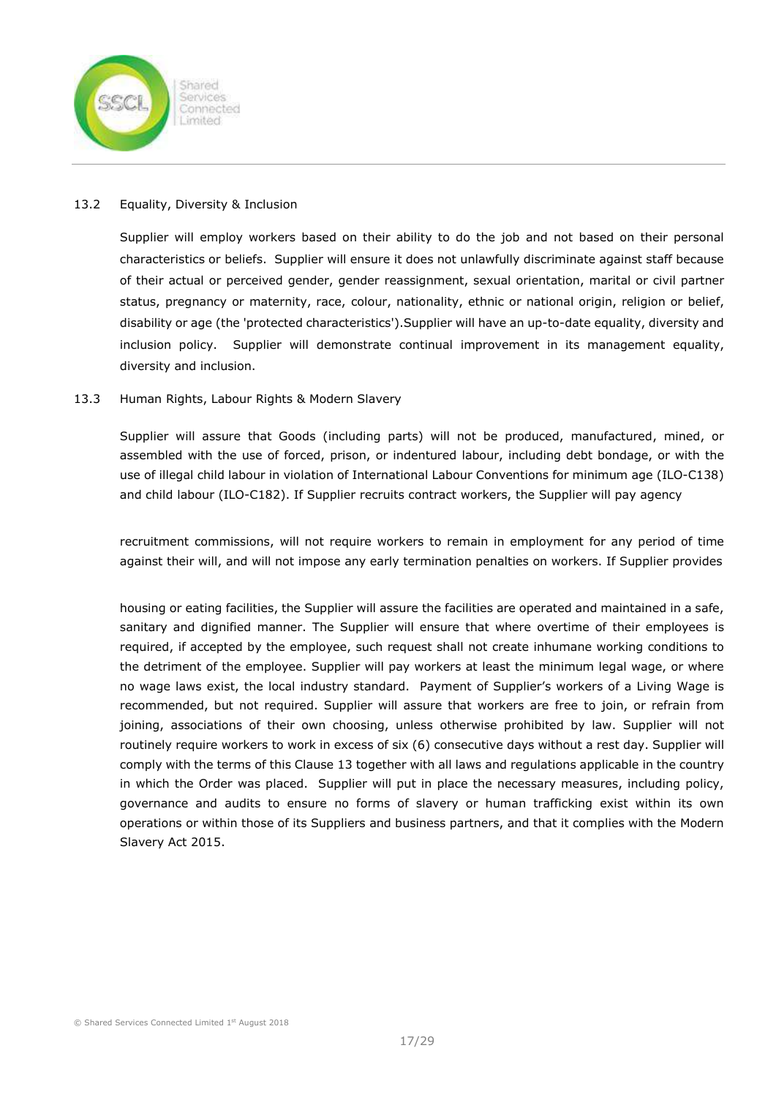

### 13.2 Equality, Diversity & Inclusion

Supplier will employ workers based on their ability to do the job and not based on their personal characteristics or beliefs. Supplier will ensure it does not unlawfully discriminate against staff because of their actual or perceived gender, gender reassignment, sexual orientation, marital or civil partner status, pregnancy or maternity, race, colour, nationality, ethnic or national origin, religion or belief, disability or age (the 'protected characteristics').Supplier will have an up-to-date equality, diversity and inclusion policy. Supplier will demonstrate continual improvement in its management equality, diversity and inclusion.

### 13.3 Human Rights, Labour Rights & Modern Slavery

Supplier will assure that Goods (including parts) will not be produced, manufactured, mined, or assembled with the use of forced, prison, or indentured labour, including debt bondage, or with the use of illegal child labour in violation of International Labour Conventions for minimum age (ILO-C138) and child labour (ILO-C182). If Supplier recruits contract workers, the Supplier will pay agency

recruitment commissions, will not require workers to remain in employment for any period of time against their will, and will not impose any early termination penalties on workers. If Supplier provides

housing or eating facilities, the Supplier will assure the facilities are operated and maintained in a safe, sanitary and dignified manner. The Supplier will ensure that where overtime of their employees is required, if accepted by the employee, such request shall not create inhumane working conditions to the detriment of the employee. Supplier will pay workers at least the minimum legal wage, or where no wage laws exist, the local industry standard. Payment of Supplier's workers of a Living Wage is recommended, but not required. Supplier will assure that workers are free to join, or refrain from joining, associations of their own choosing, unless otherwise prohibited by law. Supplier will not routinely require workers to work in excess of six (6) consecutive days without a rest day. Supplier will comply with the terms of this Clause 13 together with all laws and regulations applicable in the country in which the Order was placed. Supplier will put in place the necessary measures, including policy, governance and audits to ensure no forms of slavery or human trafficking exist within its own operations or within those of its Suppliers and business partners, and that it complies with the Modern Slavery Act 2015.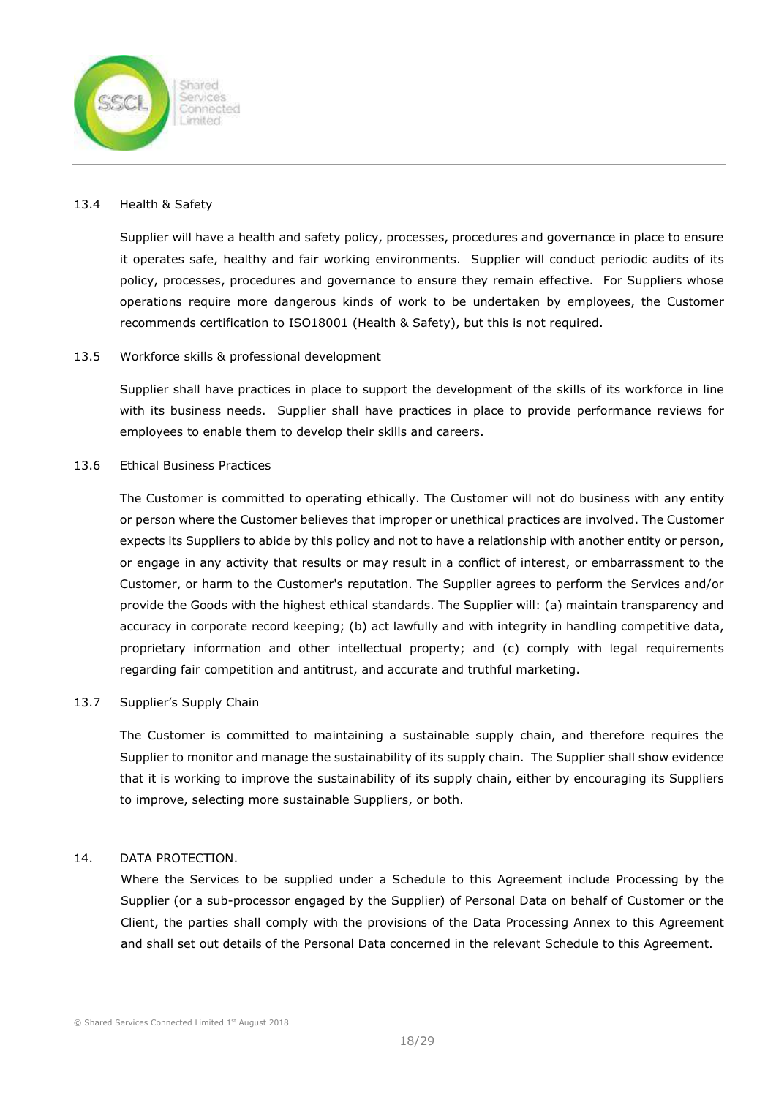

#### 13.4 Health & Safety

Supplier will have a health and safety policy, processes, procedures and governance in place to ensure it operates safe, healthy and fair working environments. Supplier will conduct periodic audits of its policy, processes, procedures and governance to ensure they remain effective. For Suppliers whose operations require more dangerous kinds of work to be undertaken by employees, the Customer recommends certification to ISO18001 (Health & Safety), but this is not required.

#### 13.5 Workforce skills & professional development

Supplier shall have practices in place to support the development of the skills of its workforce in line with its business needs. Supplier shall have practices in place to provide performance reviews for employees to enable them to develop their skills and careers.

# 13.6 Ethical Business Practices

The Customer is committed to operating ethically. The Customer will not do business with any entity or person where the Customer believes that improper or unethical practices are involved. The Customer expects its Suppliers to abide by this policy and not to have a relationship with another entity or person, or engage in any activity that results or may result in a conflict of interest, or embarrassment to the Customer, or harm to the Customer's reputation. The Supplier agrees to perform the Services and/or provide the Goods with the highest ethical standards. The Supplier will: (a) maintain transparency and accuracy in corporate record keeping; (b) act lawfully and with integrity in handling competitive data, proprietary information and other intellectual property; and (c) comply with legal requirements regarding fair competition and antitrust, and accurate and truthful marketing.

#### 13.7 Supplier's Supply Chain

The Customer is committed to maintaining a sustainable supply chain, and therefore requires the Supplier to monitor and manage the sustainability of its supply chain. The Supplier shall show evidence that it is working to improve the sustainability of its supply chain, either by encouraging its Suppliers to improve, selecting more sustainable Suppliers, or both.

# 14. DATA PROTECTION.

Where the Services to be supplied under a Schedule to this Agreement include Processing by the Supplier (or a sub-processor engaged by the Supplier) of Personal Data on behalf of Customer or the Client, the parties shall comply with the provisions of the Data Processing Annex to this Agreement and shall set out details of the Personal Data concerned in the relevant Schedule to this Agreement.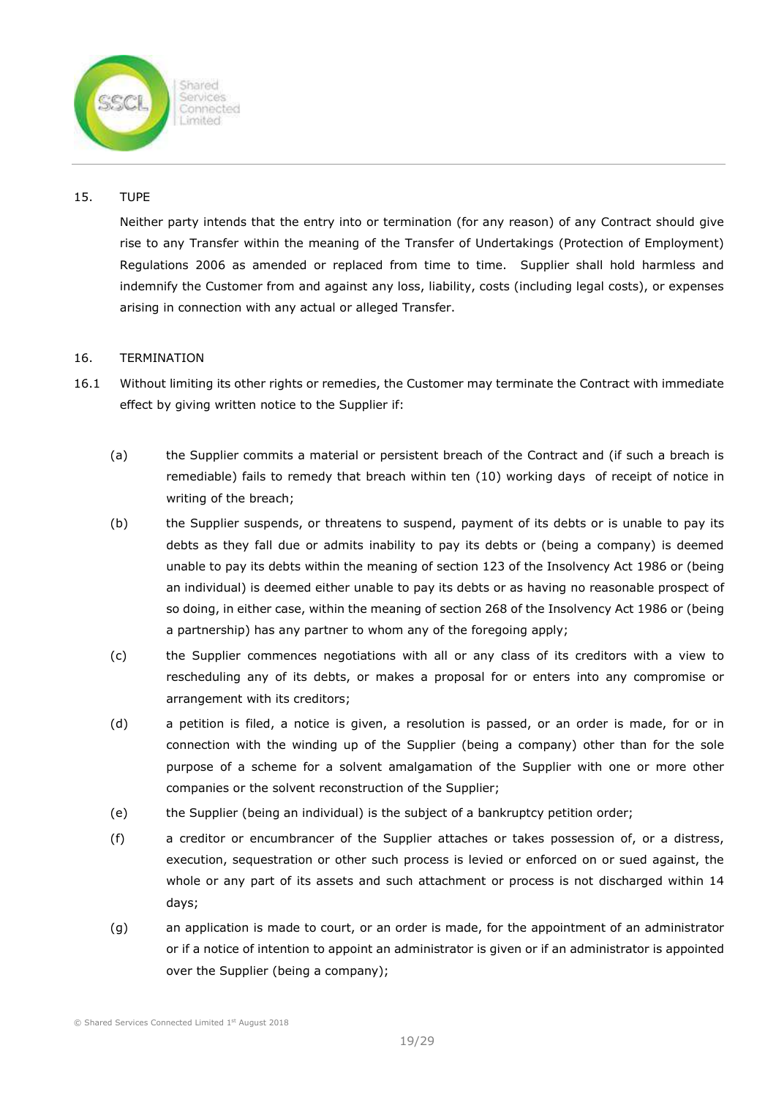

# 15. TUPE

Neither party intends that the entry into or termination (for any reason) of any Contract should give rise to any Transfer within the meaning of the Transfer of Undertakings (Protection of Employment) Regulations 2006 as amended or replaced from time to time. Supplier shall hold harmless and indemnify the Customer from and against any loss, liability, costs (including legal costs), or expenses arising in connection with any actual or alleged Transfer.

# 16. TERMINATION

- 16.1 Without limiting its other rights or remedies, the Customer may terminate the Contract with immediate effect by giving written notice to the Supplier if:
	- (a) the Supplier commits a material or persistent breach of the Contract and (if such a breach is remediable) fails to remedy that breach within ten (10) working days of receipt of notice in writing of the breach;
	- (b) the Supplier suspends, or threatens to suspend, payment of its debts or is unable to pay its debts as they fall due or admits inability to pay its debts or (being a company) is deemed unable to pay its debts within the meaning of section 123 of the Insolvency Act 1986 or (being an individual) is deemed either unable to pay its debts or as having no reasonable prospect of so doing, in either case, within the meaning of section 268 of the Insolvency Act 1986 or (being a partnership) has any partner to whom any of the foregoing apply;
	- (c) the Supplier commences negotiations with all or any class of its creditors with a view to rescheduling any of its debts, or makes a proposal for or enters into any compromise or arrangement with its creditors;
	- (d) a petition is filed, a notice is given, a resolution is passed, or an order is made, for or in connection with the winding up of the Supplier (being a company) other than for the sole purpose of a scheme for a solvent amalgamation of the Supplier with one or more other companies or the solvent reconstruction of the Supplier;
	- (e) the Supplier (being an individual) is the subject of a bankruptcy petition order;
	- (f) a creditor or encumbrancer of the Supplier attaches or takes possession of, or a distress, execution, sequestration or other such process is levied or enforced on or sued against, the whole or any part of its assets and such attachment or process is not discharged within 14 days;
	- (g) an application is made to court, or an order is made, for the appointment of an administrator or if a notice of intention to appoint an administrator is given or if an administrator is appointed over the Supplier (being a company);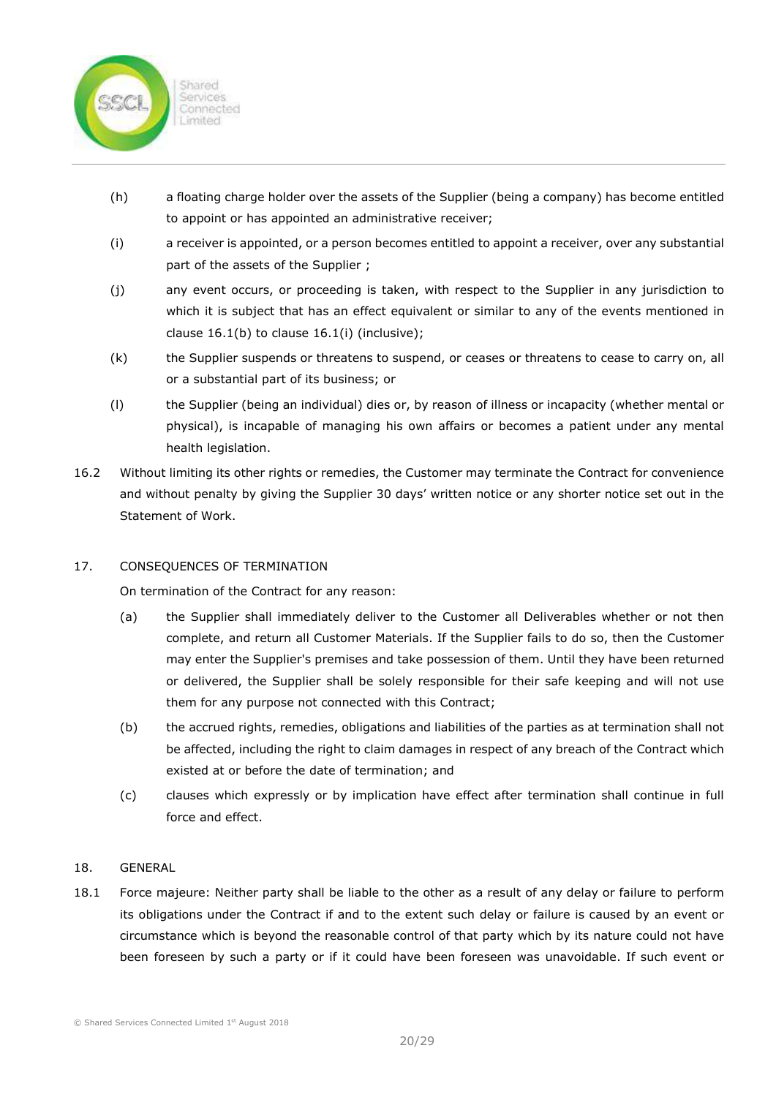

- (h) a floating charge holder over the assets of the Supplier (being a company) has become entitled to appoint or has appointed an administrative receiver;
- (i) a receiver is appointed, or a person becomes entitled to appoint a receiver, over any substantial part of the assets of the Supplier ;
- (j) any event occurs, or proceeding is taken, with respect to the Supplier in any jurisdiction to which it is subject that has an effect equivalent or similar to any of the events mentioned in clause 16.1(b) to clause 16.1(i) (inclusive);
- (k) the Supplier suspends or threatens to suspend, or ceases or threatens to cease to carry on, all or a substantial part of its business; or
- (l) the Supplier (being an individual) dies or, by reason of illness or incapacity (whether mental or physical), is incapable of managing his own affairs or becomes a patient under any mental health legislation.
- 16.2 Without limiting its other rights or remedies, the Customer may terminate the Contract for convenience and without penalty by giving the Supplier 30 days' written notice or any shorter notice set out in the Statement of Work.

# 17. CONSEQUENCES OF TERMINATION

On termination of the Contract for any reason:

- (a) the Supplier shall immediately deliver to the Customer all Deliverables whether or not then complete, and return all Customer Materials. If the Supplier fails to do so, then the Customer may enter the Supplier's premises and take possession of them. Until they have been returned or delivered, the Supplier shall be solely responsible for their safe keeping and will not use them for any purpose not connected with this Contract;
- (b) the accrued rights, remedies, obligations and liabilities of the parties as at termination shall not be affected, including the right to claim damages in respect of any breach of the Contract which existed at or before the date of termination; and
- (c) clauses which expressly or by implication have effect after termination shall continue in full force and effect.

# 18. GENERAL

18.1 Force majeure: Neither party shall be liable to the other as a result of any delay or failure to perform its obligations under the Contract if and to the extent such delay or failure is caused by an event or circumstance which is beyond the reasonable control of that party which by its nature could not have been foreseen by such a party or if it could have been foreseen was unavoidable. If such event or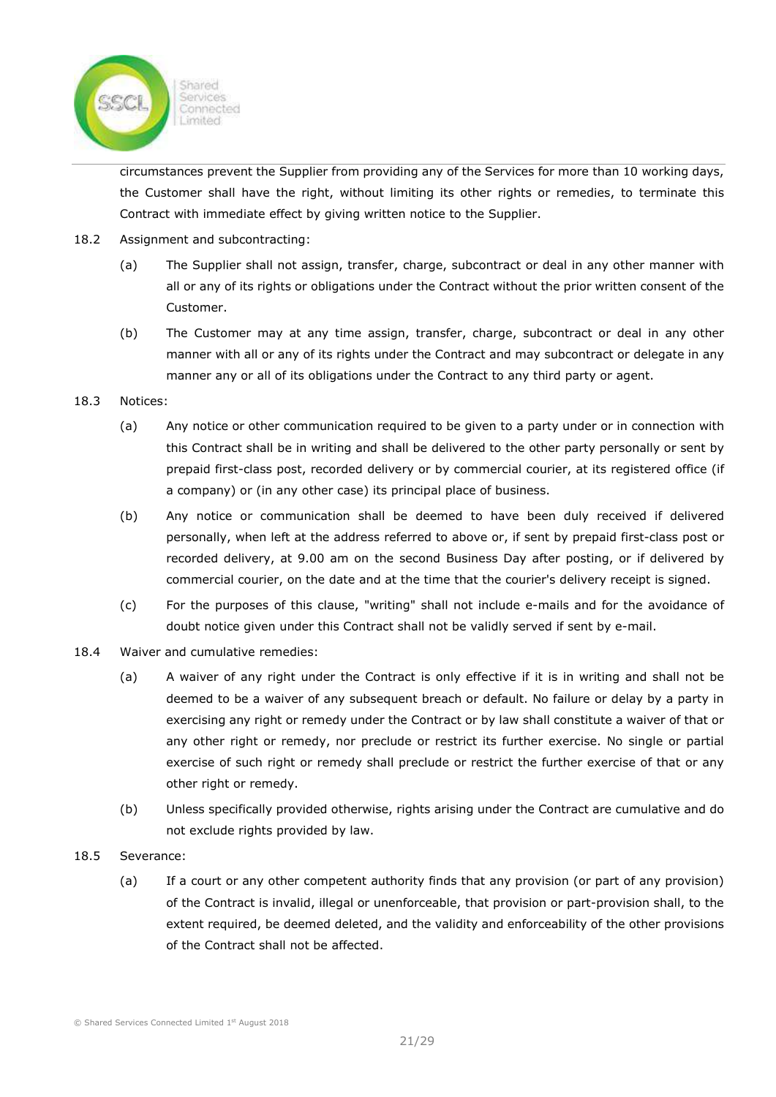

circumstances prevent the Supplier from providing any of the Services for more than 10 working days, the Customer shall have the right, without limiting its other rights or remedies, to terminate this Contract with immediate effect by giving written notice to the Supplier.

- 18.2 Assignment and subcontracting:
	- (a) The Supplier shall not assign, transfer, charge, subcontract or deal in any other manner with all or any of its rights or obligations under the Contract without the prior written consent of the Customer.
	- (b) The Customer may at any time assign, transfer, charge, subcontract or deal in any other manner with all or any of its rights under the Contract and may subcontract or delegate in any manner any or all of its obligations under the Contract to any third party or agent.

### 18.3 Notices:

- (a) Any notice or other communication required to be given to a party under or in connection with this Contract shall be in writing and shall be delivered to the other party personally or sent by prepaid first-class post, recorded delivery or by commercial courier, at its registered office (if a company) or (in any other case) its principal place of business.
- (b) Any notice or communication shall be deemed to have been duly received if delivered personally, when left at the address referred to above or, if sent by prepaid first-class post or recorded delivery, at 9.00 am on the second Business Day after posting, or if delivered by commercial courier, on the date and at the time that the courier's delivery receipt is signed.
- (c) For the purposes of this clause, "writing" shall not include e-mails and for the avoidance of doubt notice given under this Contract shall not be validly served if sent by e-mail.
- 18.4 Waiver and cumulative remedies:
	- (a) A waiver of any right under the Contract is only effective if it is in writing and shall not be deemed to be a waiver of any subsequent breach or default. No failure or delay by a party in exercising any right or remedy under the Contract or by law shall constitute a waiver of that or any other right or remedy, nor preclude or restrict its further exercise. No single or partial exercise of such right or remedy shall preclude or restrict the further exercise of that or any other right or remedy.
	- (b) Unless specifically provided otherwise, rights arising under the Contract are cumulative and do not exclude rights provided by law.
- 18.5 Severance:
	- (a) If a court or any other competent authority finds that any provision (or part of any provision) of the Contract is invalid, illegal or unenforceable, that provision or part-provision shall, to the extent required, be deemed deleted, and the validity and enforceability of the other provisions of the Contract shall not be affected.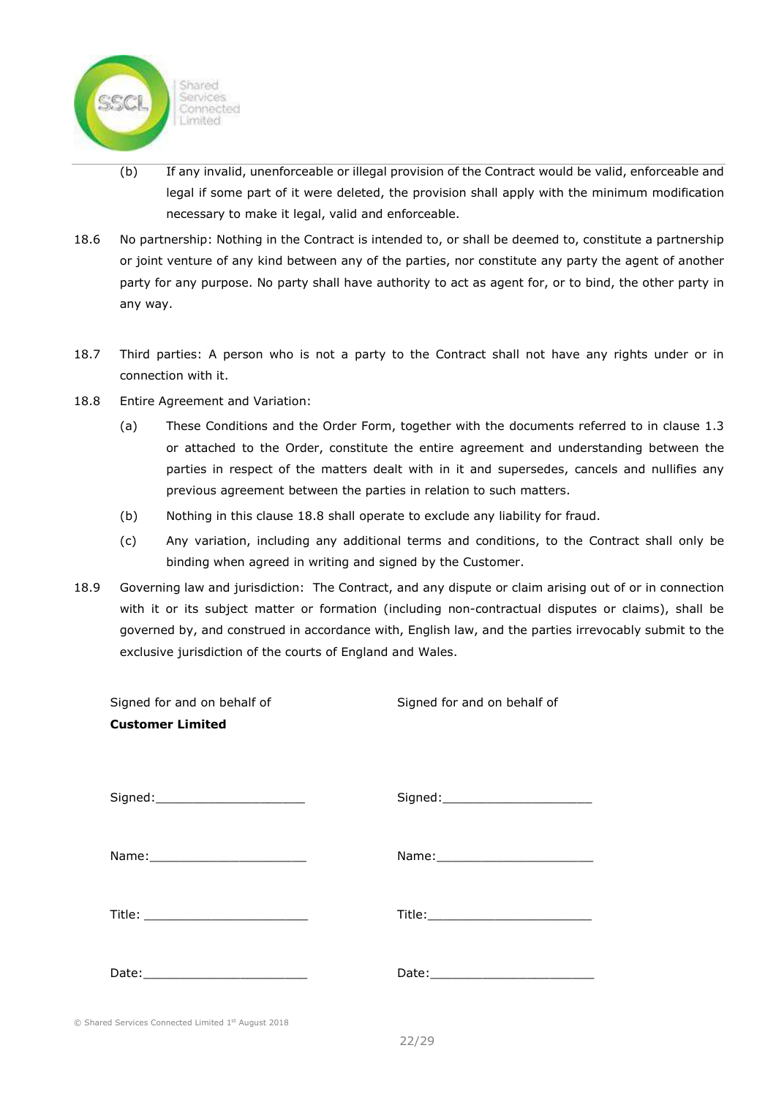

- (b) If any invalid, unenforceable or illegal provision of the Contract would be valid, enforceable and legal if some part of it were deleted, the provision shall apply with the minimum modification necessary to make it legal, valid and enforceable.
- 18.6 No partnership: Nothing in the Contract is intended to, or shall be deemed to, constitute a partnership or joint venture of any kind between any of the parties, nor constitute any party the agent of another party for any purpose. No party shall have authority to act as agent for, or to bind, the other party in any way.
- 18.7 Third parties: A person who is not a party to the Contract shall not have any rights under or in connection with it.
- 18.8 Entire Agreement and Variation:
	- (a) These Conditions and the Order Form, together with the documents referred to in clause 1.3 or attached to the Order, constitute the entire agreement and understanding between the parties in respect of the matters dealt with in it and supersedes, cancels and nullifies any previous agreement between the parties in relation to such matters.
	- (b) Nothing in this clause 18.8 shall operate to exclude any liability for fraud.
	- (c) Any variation, including any additional terms and conditions, to the Contract shall only be binding when agreed in writing and signed by the Customer.
- 18.9 Governing law and jurisdiction: The Contract, and any dispute or claim arising out of or in connection with it or its subject matter or formation (including non-contractual disputes or claims), shall be governed by, and construed in accordance with, English law, and the parties irrevocably submit to the exclusive jurisdiction of the courts of England and Wales.

| Signed for and on behalf of                         | Signed for and on behalf of         |
|-----------------------------------------------------|-------------------------------------|
| <b>Customer Limited</b>                             |                                     |
|                                                     |                                     |
| Signed:_________________________                    | Signed:________________________     |
|                                                     | Name: ____________________________  |
|                                                     | Title:_____________________________ |
|                                                     |                                     |
|                                                     |                                     |
| © Shared Services Connected Limited 1st August 2018 |                                     |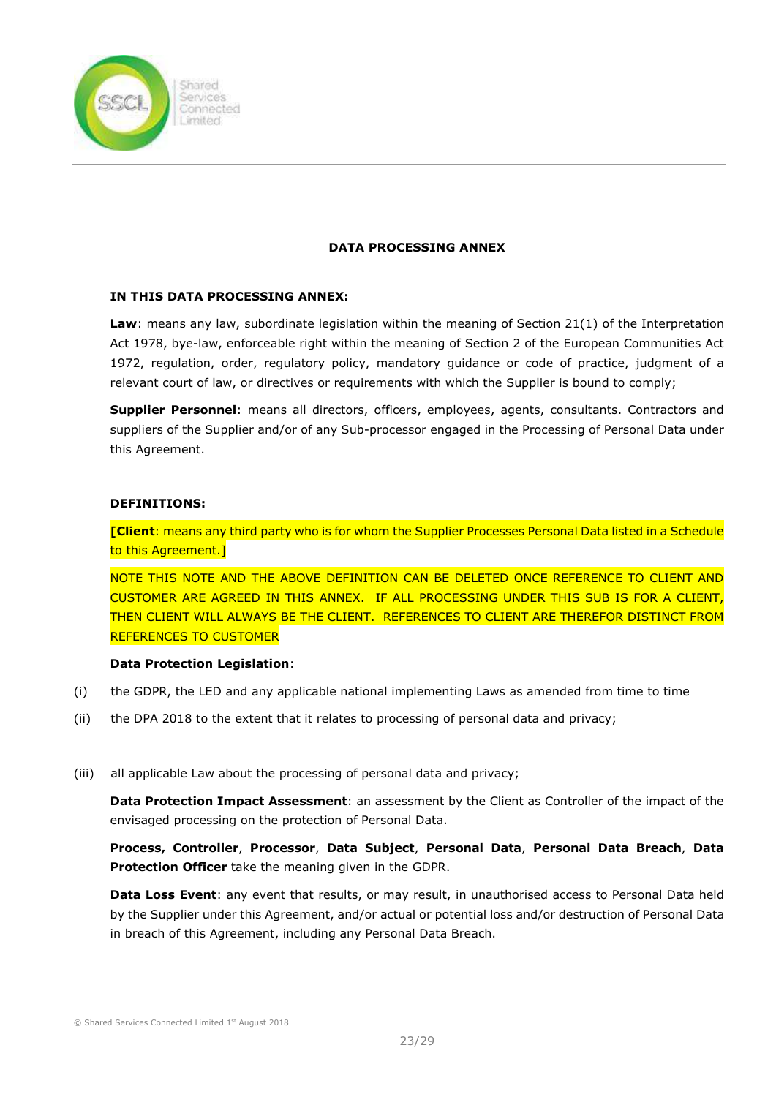

#### DATA PROCESSING ANNEX

### IN THIS DATA PROCESSING ANNEX:

**Law:** means any law, subordinate legislation within the meaning of Section 21(1) of the Interpretation Act 1978, bye-law, enforceable right within the meaning of Section 2 of the European Communities Act 1972, regulation, order, regulatory policy, mandatory guidance or code of practice, judgment of a relevant court of law, or directives or requirements with which the Supplier is bound to comply;

Supplier Personnel: means all directors, officers, employees, agents, consultants. Contractors and suppliers of the Supplier and/or of any Sub-processor engaged in the Processing of Personal Data under this Agreement.

### DEFINITIONS:

[Client: means any third party who is for whom the Supplier Processes Personal Data listed in a Schedule to this Agreement.]

NOTE THIS NOTE AND THE ABOVE DEFINITION CAN BE DELETED ONCE REFERENCE TO CLIENT AND CUSTOMER ARE AGREED IN THIS ANNEX. IF ALL PROCESSING UNDER THIS SUB IS FOR A CLIENT, THEN CLIENT WILL ALWAYS BE THE CLIENT. REFERENCES TO CLIENT ARE THEREFOR DISTINCT FROM REFERENCES TO CUSTOMER

#### Data Protection Legislation:

- (i) the GDPR, the LED and any applicable national implementing Laws as amended from time to time
- (ii) the DPA 2018 to the extent that it relates to processing of personal data and privacy;
- (iii) all applicable Law about the processing of personal data and privacy;

Data Protection Impact Assessment: an assessment by the Client as Controller of the impact of the envisaged processing on the protection of Personal Data.

Process, Controller, Processor, Data Subject, Personal Data, Personal Data Breach, Data Protection Officer take the meaning given in the GDPR.

**Data Loss Event:** any event that results, or may result, in unauthorised access to Personal Data held by the Supplier under this Agreement, and/or actual or potential loss and/or destruction of Personal Data in breach of this Agreement, including any Personal Data Breach.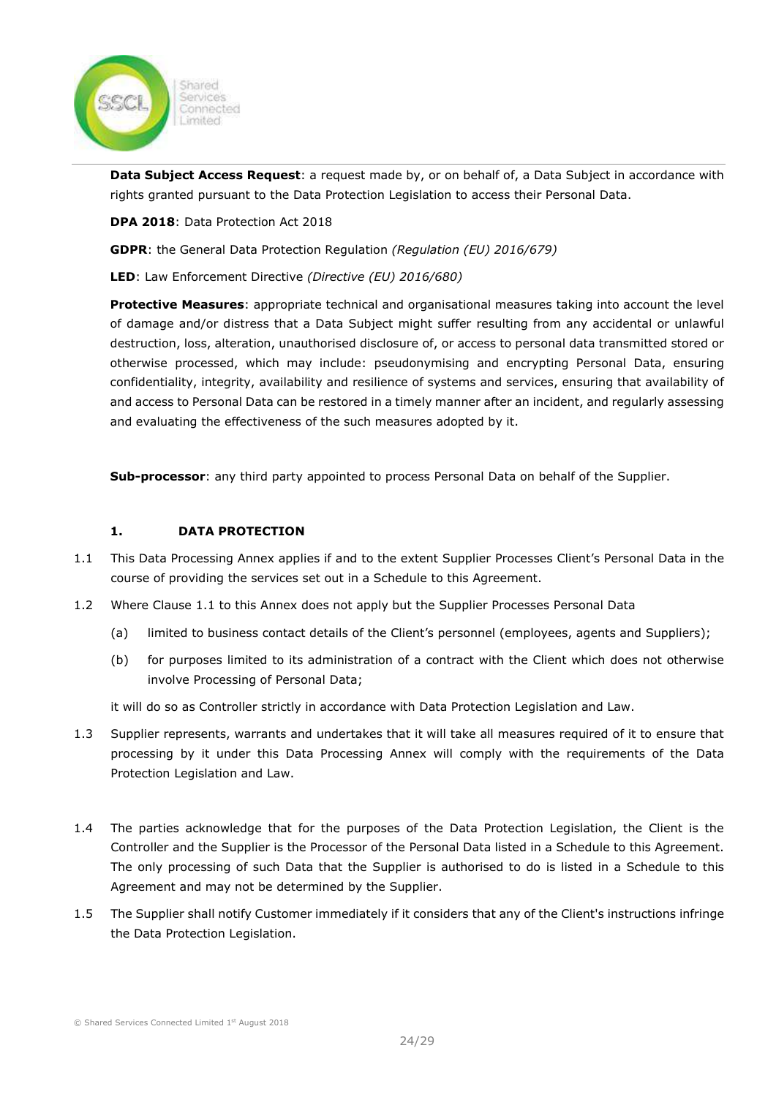

Data Subject Access Request: a request made by, or on behalf of, a Data Subject in accordance with rights granted pursuant to the Data Protection Legislation to access their Personal Data.

DPA 2018: Data Protection Act 2018

GDPR: the General Data Protection Regulation (Regulation (EU) 2016/679)

LED: Law Enforcement Directive (Directive (EU) 2016/680)

Protective Measures: appropriate technical and organisational measures taking into account the level of damage and/or distress that a Data Subject might suffer resulting from any accidental or unlawful destruction, loss, alteration, unauthorised disclosure of, or access to personal data transmitted stored or otherwise processed, which may include: pseudonymising and encrypting Personal Data, ensuring confidentiality, integrity, availability and resilience of systems and services, ensuring that availability of and access to Personal Data can be restored in a timely manner after an incident, and regularly assessing and evaluating the effectiveness of the such measures adopted by it.

Sub-processor: any third party appointed to process Personal Data on behalf of the Supplier.

#### 1. DATA PROTECTION

- 1.1 This Data Processing Annex applies if and to the extent Supplier Processes Client's Personal Data in the course of providing the services set out in a Schedule to this Agreement.
- 1.2 Where Clause 1.1 to this Annex does not apply but the Supplier Processes Personal Data
	- (a) limited to business contact details of the Client's personnel (employees, agents and Suppliers);
	- (b) for purposes limited to its administration of a contract with the Client which does not otherwise involve Processing of Personal Data;

it will do so as Controller strictly in accordance with Data Protection Legislation and Law.

- 1.3 Supplier represents, warrants and undertakes that it will take all measures required of it to ensure that processing by it under this Data Processing Annex will comply with the requirements of the Data Protection Legislation and Law.
- 1.4 The parties acknowledge that for the purposes of the Data Protection Legislation, the Client is the Controller and the Supplier is the Processor of the Personal Data listed in a Schedule to this Agreement. The only processing of such Data that the Supplier is authorised to do is listed in a Schedule to this Agreement and may not be determined by the Supplier.
- 1.5 The Supplier shall notify Customer immediately if it considers that any of the Client's instructions infringe the Data Protection Legislation.

© Shared Services Connected Limited 1st August 2018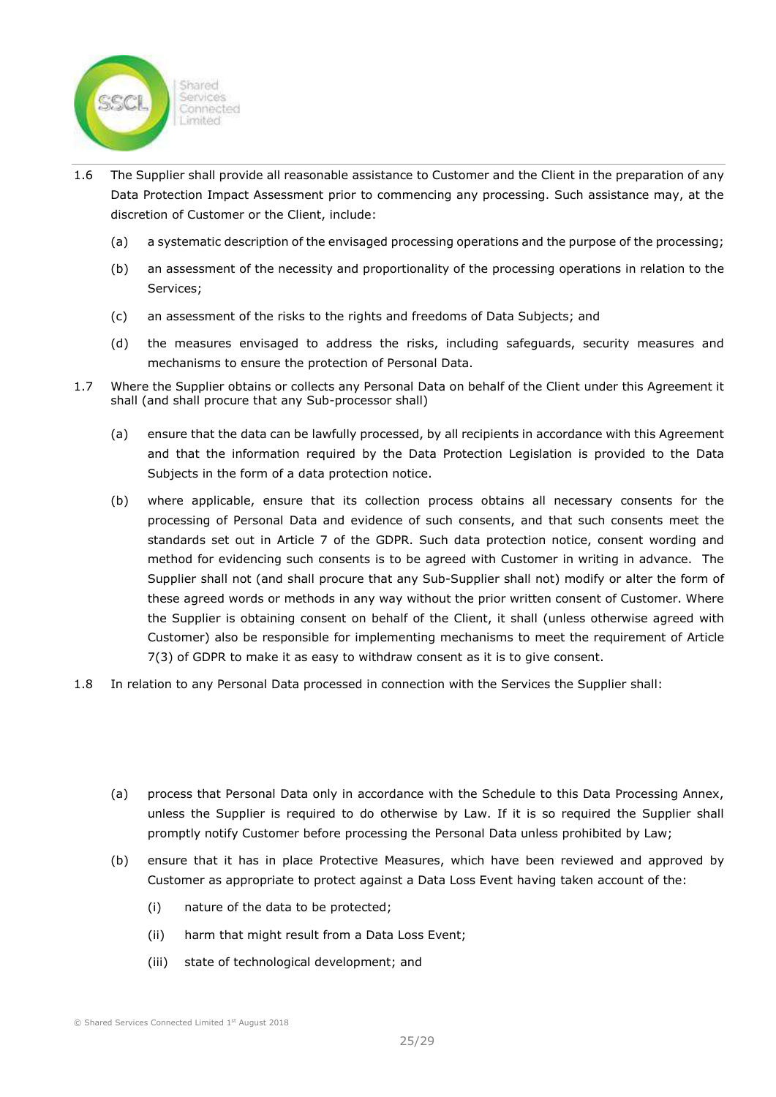

- 1.6 The Supplier shall provide all reasonable assistance to Customer and the Client in the preparation of any Data Protection Impact Assessment prior to commencing any processing. Such assistance may, at the discretion of Customer or the Client, include:
	- (a) a systematic description of the envisaged processing operations and the purpose of the processing;
	- (b) an assessment of the necessity and proportionality of the processing operations in relation to the Services;
	- (c) an assessment of the risks to the rights and freedoms of Data Subjects; and
	- (d) the measures envisaged to address the risks, including safeguards, security measures and mechanisms to ensure the protection of Personal Data.
- 1.7 Where the Supplier obtains or collects any Personal Data on behalf of the Client under this Agreement it shall (and shall procure that any Sub-processor shall)
	- (a) ensure that the data can be lawfully processed, by all recipients in accordance with this Agreement and that the information required by the Data Protection Legislation is provided to the Data Subjects in the form of a data protection notice.
	- (b) where applicable, ensure that its collection process obtains all necessary consents for the processing of Personal Data and evidence of such consents, and that such consents meet the standards set out in Article 7 of the GDPR. Such data protection notice, consent wording and method for evidencing such consents is to be agreed with Customer in writing in advance. The Supplier shall not (and shall procure that any Sub-Supplier shall not) modify or alter the form of these agreed words or methods in any way without the prior written consent of Customer. Where the Supplier is obtaining consent on behalf of the Client, it shall (unless otherwise agreed with Customer) also be responsible for implementing mechanisms to meet the requirement of Article 7(3) of GDPR to make it as easy to withdraw consent as it is to give consent.
- 1.8 In relation to any Personal Data processed in connection with the Services the Supplier shall:
	- (a) process that Personal Data only in accordance with the Schedule to this Data Processing Annex, unless the Supplier is required to do otherwise by Law. If it is so required the Supplier shall promptly notify Customer before processing the Personal Data unless prohibited by Law;
	- (b) ensure that it has in place Protective Measures, which have been reviewed and approved by Customer as appropriate to protect against a Data Loss Event having taken account of the:
		- (i) nature of the data to be protected;
		- (ii) harm that might result from a Data Loss Event;
		- (iii) state of technological development; and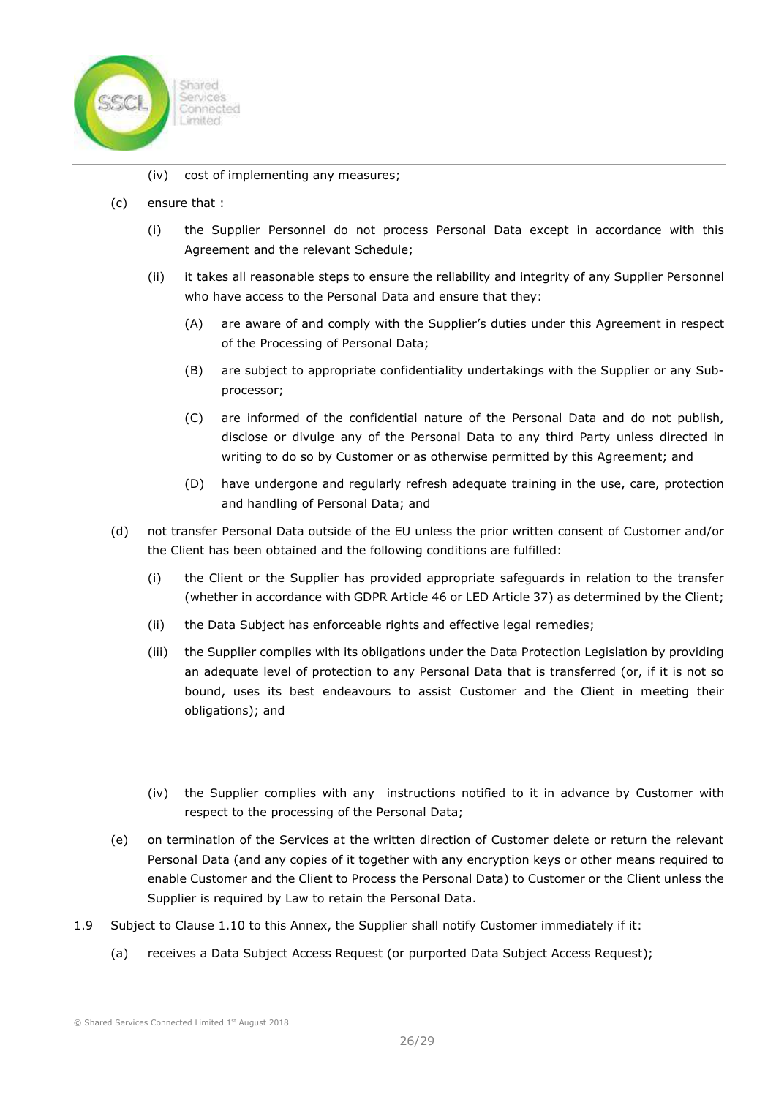

- (iv) cost of implementing any measures;
- (c) ensure that :
	- (i) the Supplier Personnel do not process Personal Data except in accordance with this Agreement and the relevant Schedule;
	- (ii) it takes all reasonable steps to ensure the reliability and integrity of any Supplier Personnel who have access to the Personal Data and ensure that they:
		- (A) are aware of and comply with the Supplier's duties under this Agreement in respect of the Processing of Personal Data;
		- (B) are subject to appropriate confidentiality undertakings with the Supplier or any Subprocessor;
		- (C) are informed of the confidential nature of the Personal Data and do not publish, disclose or divulge any of the Personal Data to any third Party unless directed in writing to do so by Customer or as otherwise permitted by this Agreement; and
		- (D) have undergone and regularly refresh adequate training in the use, care, protection and handling of Personal Data; and
- (d) not transfer Personal Data outside of the EU unless the prior written consent of Customer and/or the Client has been obtained and the following conditions are fulfilled:
	- (i) the Client or the Supplier has provided appropriate safeguards in relation to the transfer (whether in accordance with GDPR Article 46 or LED Article 37) as determined by the Client;
	- (ii) the Data Subject has enforceable rights and effective legal remedies;
	- (iii) the Supplier complies with its obligations under the Data Protection Legislation by providing an adequate level of protection to any Personal Data that is transferred (or, if it is not so bound, uses its best endeavours to assist Customer and the Client in meeting their obligations); and
	- (iv) the Supplier complies with any instructions notified to it in advance by Customer with respect to the processing of the Personal Data;
- (e) on termination of the Services at the written direction of Customer delete or return the relevant Personal Data (and any copies of it together with any encryption keys or other means required to enable Customer and the Client to Process the Personal Data) to Customer or the Client unless the Supplier is required by Law to retain the Personal Data.
- 1.9 Subject to Clause 1.10 to this Annex, the Supplier shall notify Customer immediately if it:
	- (a) receives a Data Subject Access Request (or purported Data Subject Access Request);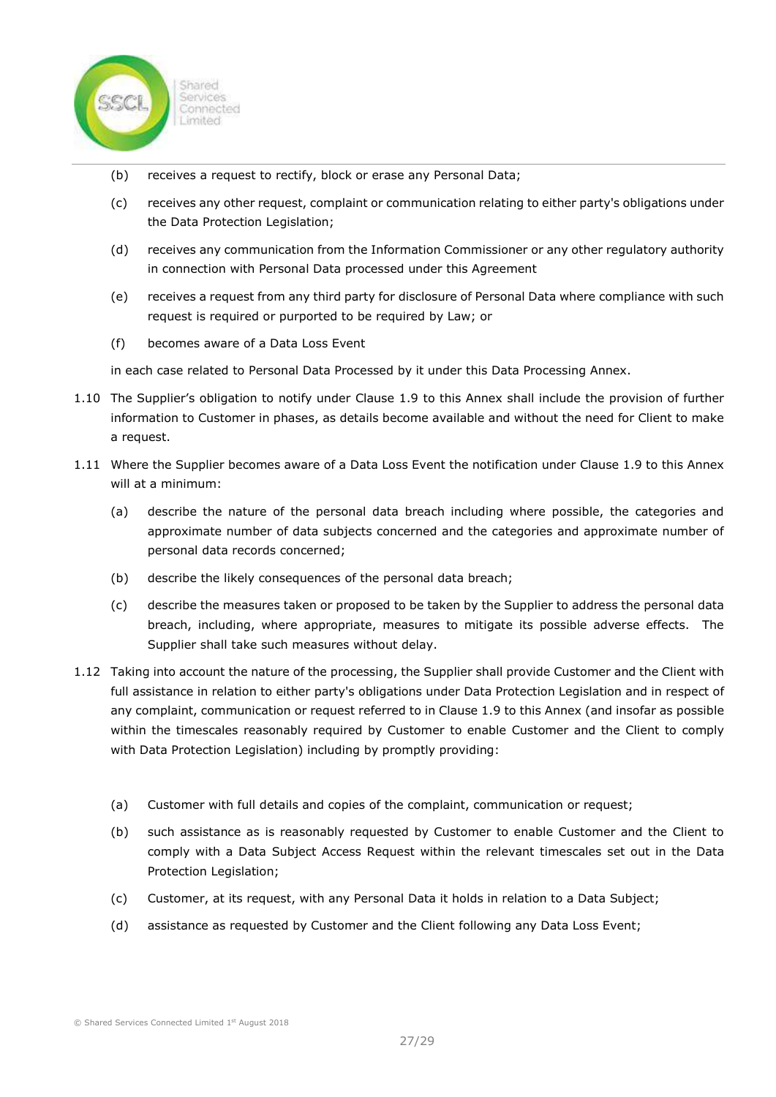

- (b) receives a request to rectify, block or erase any Personal Data;
- (c) receives any other request, complaint or communication relating to either party's obligations under the Data Protection Legislation;
- (d) receives any communication from the Information Commissioner or any other regulatory authority in connection with Personal Data processed under this Agreement
- (e) receives a request from any third party for disclosure of Personal Data where compliance with such request is required or purported to be required by Law; or
- (f) becomes aware of a Data Loss Event

in each case related to Personal Data Processed by it under this Data Processing Annex.

- 1.10 The Supplier's obligation to notify under Clause 1.9 to this Annex shall include the provision of further information to Customer in phases, as details become available and without the need for Client to make a request.
- 1.11 Where the Supplier becomes aware of a Data Loss Event the notification under Clause 1.9 to this Annex will at a minimum:
	- (a) describe the nature of the personal data breach including where possible, the categories and approximate number of data subjects concerned and the categories and approximate number of personal data records concerned;
	- (b) describe the likely consequences of the personal data breach;
	- (c) describe the measures taken or proposed to be taken by the Supplier to address the personal data breach, including, where appropriate, measures to mitigate its possible adverse effects. The Supplier shall take such measures without delay.
- 1.12 Taking into account the nature of the processing, the Supplier shall provide Customer and the Client with full assistance in relation to either party's obligations under Data Protection Legislation and in respect of any complaint, communication or request referred to in Clause 1.9 to this Annex (and insofar as possible within the timescales reasonably required by Customer to enable Customer and the Client to comply with Data Protection Legislation) including by promptly providing:
	- (a) Customer with full details and copies of the complaint, communication or request;
	- (b) such assistance as is reasonably requested by Customer to enable Customer and the Client to comply with a Data Subject Access Request within the relevant timescales set out in the Data Protection Legislation;
	- (c) Customer, at its request, with any Personal Data it holds in relation to a Data Subject;
	- (d) assistance as requested by Customer and the Client following any Data Loss Event;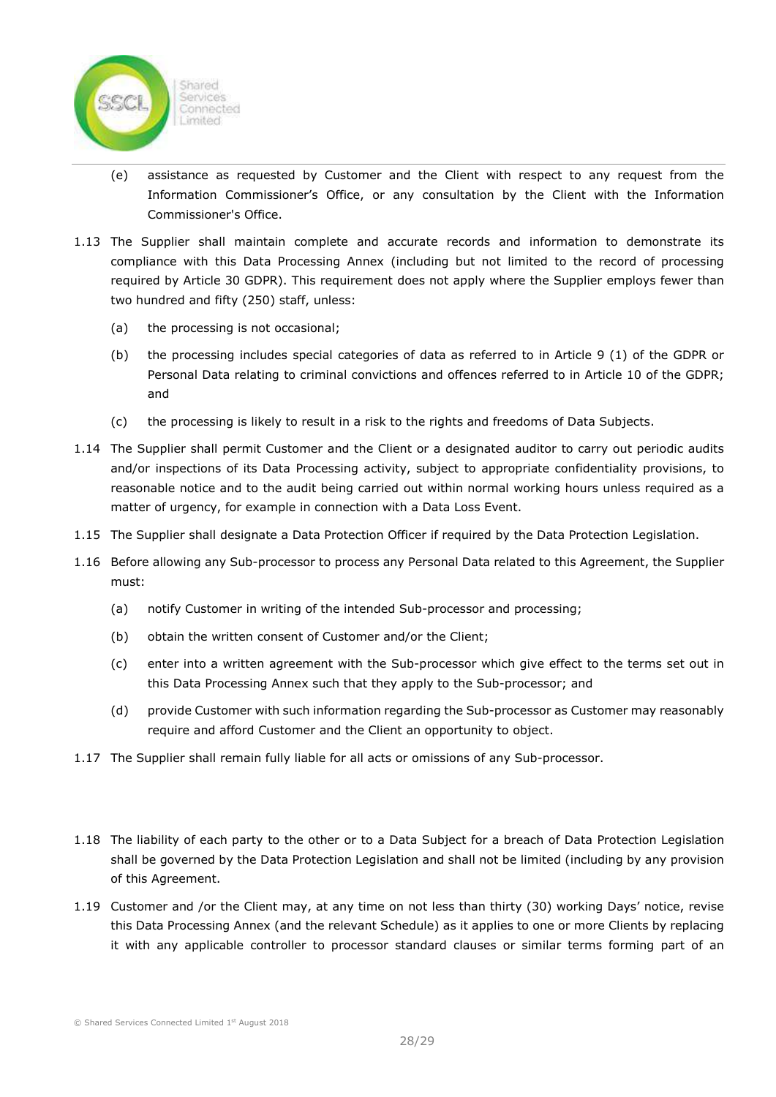

- (e) assistance as requested by Customer and the Client with respect to any request from the Information Commissioner's Office, or any consultation by the Client with the Information Commissioner's Office.
- 1.13 The Supplier shall maintain complete and accurate records and information to demonstrate its compliance with this Data Processing Annex (including but not limited to the record of processing required by Article 30 GDPR). This requirement does not apply where the Supplier employs fewer than two hundred and fifty (250) staff, unless:
	- (a) the processing is not occasional;
	- (b) the processing includes special categories of data as referred to in Article 9 (1) of the GDPR or Personal Data relating to criminal convictions and offences referred to in Article 10 of the GDPR; and
	- (c) the processing is likely to result in a risk to the rights and freedoms of Data Subjects.
- 1.14 The Supplier shall permit Customer and the Client or a designated auditor to carry out periodic audits and/or inspections of its Data Processing activity, subject to appropriate confidentiality provisions, to reasonable notice and to the audit being carried out within normal working hours unless required as a matter of urgency, for example in connection with a Data Loss Event.
- 1.15 The Supplier shall designate a Data Protection Officer if required by the Data Protection Legislation.
- 1.16 Before allowing any Sub-processor to process any Personal Data related to this Agreement, the Supplier must:
	- (a) notify Customer in writing of the intended Sub-processor and processing;
	- (b) obtain the written consent of Customer and/or the Client;
	- (c) enter into a written agreement with the Sub-processor which give effect to the terms set out in this Data Processing Annex such that they apply to the Sub-processor; and
	- (d) provide Customer with such information regarding the Sub-processor as Customer may reasonably require and afford Customer and the Client an opportunity to object.
- 1.17 The Supplier shall remain fully liable for all acts or omissions of any Sub-processor.
- 1.18 The liability of each party to the other or to a Data Subject for a breach of Data Protection Legislation shall be governed by the Data Protection Legislation and shall not be limited (including by any provision of this Agreement.
- 1.19 Customer and /or the Client may, at any time on not less than thirty (30) working Days' notice, revise this Data Processing Annex (and the relevant Schedule) as it applies to one or more Clients by replacing it with any applicable controller to processor standard clauses or similar terms forming part of an

© Shared Services Connected Limited 1st August 2018